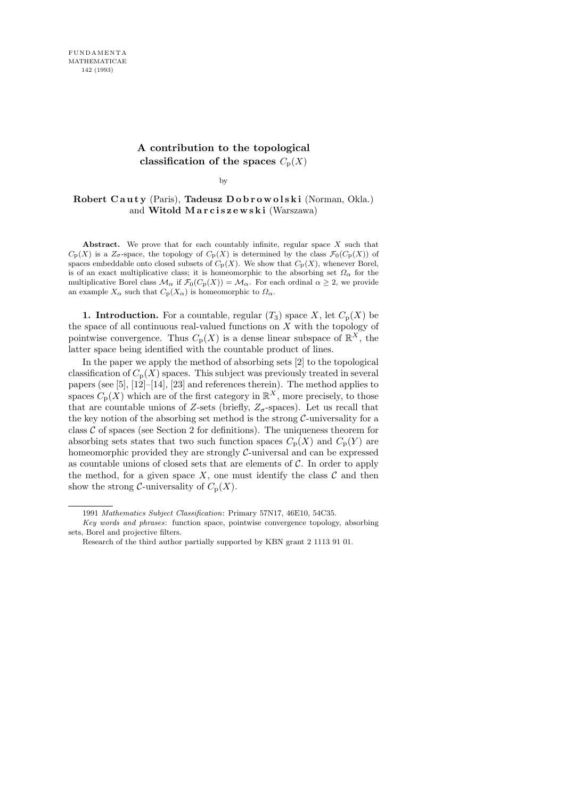## **A contribution to the topological classification of the spaces**  $C_p(X)$

by

#### Robert Cauty (Paris), Tadeusz Dobrowolski (Norman, Okla.) and Witold Marciszewski (Warszawa)

**Abstract.** We prove that for each countably infinite, regular space *X* such that  $C_{\rm P}(X)$  is a  $Z_{\sigma}$ -space, the topology of  $C_{\rm P}(X)$  is determined by the class  $\mathcal{F}_0(C_{\rm P}(X))$  of spaces embeddable onto closed subsets of  $C_p(X)$ . We show that  $C_p(X)$ , whenever Borel, is of an exact multiplicative class; it is homeomorphic to the absorbing set  $\Omega_{\alpha}$  for the multiplicative Borel class  $\mathcal{M}_{\alpha}$  if  $\mathcal{F}_0(C_p(X)) = \mathcal{M}_{\alpha}$ . For each ordinal  $\alpha \geq 2$ , we provide an example  $X_{\alpha}$  such that  $C_{\mathcal{P}}(X_{\alpha})$  is homeomorphic to  $\Omega_{\alpha}$ .

**1. Introduction.** For a countable, regular  $(T_3)$  space X, let  $C_p(X)$  be the space of all continuous real-valued functions on  $X$  with the topology of pointwise convergence. Thus  $C_{p}(X)$  is a dense linear subspace of  $\mathbb{R}^{X}$ , the latter space being identified with the countable product of lines.

In the paper we apply the method of absorbing sets [2] to the topological classification of  $C_p(X)$  spaces. This subject was previously treated in several papers (see [5], [12]–[14], [23] and references therein). The method applies to spaces  $C_p(X)$  which are of the first category in  $\mathbb{R}^X$ , more precisely, to those that are countable unions of Z-sets (briefly,  $Z_{\sigma}$ -spaces). Let us recall that the key notion of the absorbing set method is the strong  $C$ -universality for a class  $\mathcal C$  of spaces (see Section 2 for definitions). The uniqueness theorem for absorbing sets states that two such function spaces  $C_p(X)$  and  $C_p(Y)$  are homeomorphic provided they are strongly C-universal and can be expressed as countable unions of closed sets that are elements of  $C$ . In order to apply the method, for a given space  $X$ , one must identify the class  $\mathcal C$  and then show the strong C-universality of  $C_p(X)$ .

<sup>1991</sup> *Mathematics Subject Classification*: Primary 57N17, 46E10, 54C35.

*Key words and phrases*: function space, pointwise convergence topology, absorbing sets, Borel and projective filters.

Research of the third author partially supported by KBN grant 2 1113 91 01.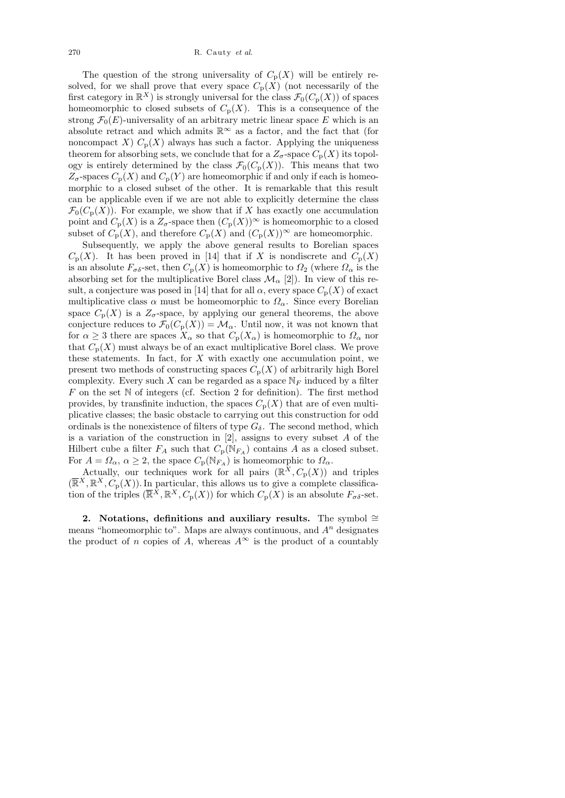The question of the strong universality of  $C_p(X)$  will be entirely resolved, for we shall prove that every space  $C_p(X)$  (not necessarily of the first category in  $\mathbb{R}^X$ ) is strongly universal for the class  $\mathcal{F}_0(C_p(X))$  of spaces homeomorphic to closed subsets of  $C_p(X)$ . This is a consequence of the strong  $\mathcal{F}_0(E)$ -universality of an arbitrary metric linear space E which is an absolute retract and which admits  $\mathbb{R}^{\infty}$  as a factor, and the fact that (for noncompact X)  $C_p(X)$  always has such a factor. Applying the uniqueness theorem for absorbing sets, we conclude that for a  $Z_{\sigma}$ -space  $C_{\rm p}(X)$  its topology is entirely determined by the class  $\mathcal{F}_0(C_p(X))$ . This means that two  $Z_{\sigma}$ -spaces  $C_{\rm p}(X)$  and  $C_{\rm p}(Y)$  are homeomorphic if and only if each is homeomorphic to a closed subset of the other. It is remarkable that this result can be applicable even if we are not able to explicitly determine the class  $\mathcal{F}_0(C_p(X))$ . For example, we show that if X has exactly one accumulation point and  $C_{\rm p}(X)$  is a  $Z_{\sigma}$ -space then  $(C_{\rm p}(X))^{\infty}$  is homeomorphic to a closed subset of  $C_p(X)$ , and therefore  $C_p(X)$  and  $(C_p(X))^{\infty}$  are homeomorphic.

Subsequently, we apply the above general results to Borelian spaces  $C_p(X)$ . It has been proved in [14] that if X is nondiscrete and  $C_p(X)$ is an absolute  $F_{\sigma\delta}$ -set, then  $C_p(X)$  is homeomorphic to  $\Omega_2$  (where  $\Omega_\alpha$  is the absorbing set for the multiplicative Borel class  $\mathcal{M}_{\alpha}$  [2]). In view of this result, a conjecture was posed in [14] that for all  $\alpha$ , every space  $C_p(X)$  of exact multiplicative class  $\alpha$  must be homeomorphic to  $\Omega_{\alpha}$ . Since every Borelian space  $C_p(X)$  is a  $Z_\sigma$ -space, by applying our general theorems, the above conjecture reduces to  $\mathcal{F}_0(C_p(X)) = \mathcal{M}_\alpha$ . Until now, it was not known that for  $\alpha \geq 3$  there are spaces  $X_{\alpha}$  so that  $C_{p}(X_{\alpha})$  is homeomorphic to  $\Omega_{\alpha}$  nor that  $C_p(X)$  must always be of an exact multiplicative Borel class. We prove these statements. In fact, for  $X$  with exactly one accumulation point, we present two methods of constructing spaces  $C_p(X)$  of arbitrarily high Borel complexity. Every such X can be regarded as a space  $\mathbb{N}_F$  induced by a filter  $F$  on the set  $N$  of integers (cf. Section 2 for definition). The first method provides, by transfinite induction, the spaces  $C_p(X)$  that are of even multiplicative classes; the basic obstacle to carrying out this construction for odd ordinals is the nonexistence of filters of type  $G_{\delta}$ . The second method, which is a variation of the construction in  $[2]$ , assigns to every subset A of the Hilbert cube a filter  $F_A$  such that  $C_p(N_{F_A})$  contains A as a closed subset. For  $A = \Omega_{\alpha}$ ,  $\alpha \geq 2$ , the space  $C_p(\mathbb{N}_{F_A})$  is homeomorphic to  $\Omega_{\alpha}$ .

Actually, our techniques work for all pairs  $(\mathbb{R}^X, C_p(X))$  and triples  $(\overline{\mathbb{R}}^X, \mathbb{R}^X, C_p(X))$ . In particular, this allows us to give a complete classification of the triples  $(\overline{\mathbb{R}}^X, \mathbb{R}^X, C_p(X))$  for which  $C_p(X)$  is an absolute  $F_{\sigma \delta}$ -set.

2. Notations, definitions and auxiliary results. The symbol ≅ means "homeomorphic to". Maps are always continuous, and  $A<sup>n</sup>$  designates the product of n copies of A, whereas  $A^{\infty}$  is the product of a countably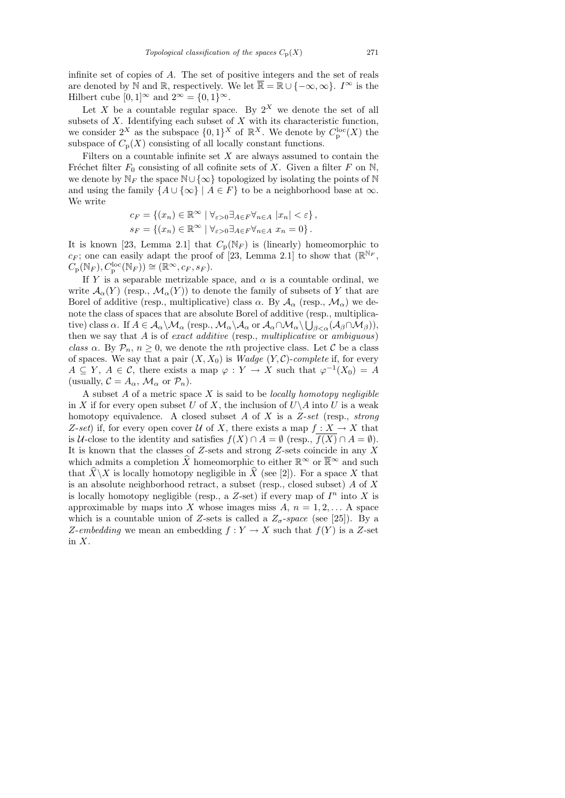infinite set of copies of A. The set of positive integers and the set of reals are denoted by N and R, respectively. We let  $\overline{\mathbb{R}} = \mathbb{R} \cup \{-\infty, \infty\}$ .  $I^{\infty}$  is the Hilbert cube  $[0, 1]^\infty$  and  $2^\infty = \{0, 1\}^\infty$ .

Let X be a countable regular space. By  $2^X$  we denote the set of all subsets of  $X$ . Identifying each subset of  $X$  with its characteristic function, we consider  $2^X$  as the subspace  $\{0,1\}^X$  of  $\mathbb{R}^X$ . We denote by  $C_{\mathbf{p}}^{\text{loc}}(X)$  the subspace of  $C_p(X)$  consisting of all locally constant functions.

Filters on a countable infinite set  $X$  are always assumed to contain the Fréchet filter  $F_0$  consisting of all cofinite sets of X. Given a filter F on N, we denote by  $\mathbb{N}_F$  the space  $\mathbb{N}\cup\{\infty\}$  topologized by isolating the points of  $\mathbb{N}$ and using the family  $\{A \cup \{\infty\} \mid A \in F\}$  to be a neighborhood base at  $\infty$ . We write

$$
c_F = \{(x_n) \in \mathbb{R}^\infty \mid \forall_{\varepsilon > 0} \exists_{A \in F} \forall_{n \in A} |x_n| < \varepsilon\},
$$
\n
$$
s_F = \{(x_n) \in \mathbb{R}^\infty \mid \forall_{\varepsilon > 0} \exists_{A \in F} \forall_{n \in A} |x_n = 0\}.
$$

It is known [23, Lemma 2.1] that  $C_p(N_F)$  is (linearly) homeomorphic to  $c_F$ ; one can easily adapt the proof of [23, Lemma 2.1] to show that  $(\mathbb{R}^{\mathbb{N}_F},$  $C_{\mathbf{p}}(\mathbb{N}_F), C_{\mathbf{p}}^{\text{loc}}(\mathbb{N}_F)) \cong (\mathbb{R}^\infty, c_F, s_F).$ 

If Y is a separable metrizable space, and  $\alpha$  is a countable ordinal, we write  $\mathcal{A}_{\alpha}(Y)$  (resp.,  $\mathcal{M}_{\alpha}(Y)$ ) to denote the family of subsets of Y that are Borel of additive (resp., multiplicative) class  $\alpha$ . By  $\mathcal{A}_{\alpha}$  (resp.,  $\mathcal{M}_{\alpha}$ ) we denote the class of spaces that are absolute Borel of additive (resp., multiplicative) class  $\alpha$ . If  $A\in\mathcal{A}_\alpha\backslash\mathcal{M}_\alpha$  (resp.,  $\mathcal{M}_\alpha\backslash\mathcal{A}_\alpha$  or  $\mathcal{A}_\alpha\cap\mathcal{M}_\alpha\backslash\bigcup_{\beta<\alpha}(\mathcal{A}_\beta\cap\mathcal{M}_\beta)),$ then we say that  $A$  is of exact additive (resp., multiplicative or ambiguous) class  $\alpha$ . By  $\mathcal{P}_n$ ,  $n \geq 0$ , we denote the *n*th projective class. Let C be a class of spaces. We say that a pair  $(X, X_0)$  is *Wadge*  $(Y, C)$ *-complete* if, for every  $A \subseteq Y, A \in \mathcal{C}$ , there exists a map  $\varphi : Y \to X$  such that  $\varphi^{-1}(X_0) = A$ (usually,  $C = A_{\alpha}$ ,  $\mathcal{M}_{\alpha}$  or  $\mathcal{P}_n$ ).

A subset  $A$  of a metric space  $X$  is said to be *locally homotopy negligible* in X if for every open subset U of X, the inclusion of  $U\backslash A$  into U is a weak homotopy equivalence. A closed subset A of X is a  $Z-set$  (resp., strong Z-set) if, for every open cover U of X, there exists a map  $f: X \to X$  that is U-close to the identity and satisfies  $f(X) \cap A = \emptyset$  (resp.,  $\overline{f(X)} \cap A = \emptyset$ ). It is known that the classes of  $Z$ -sets and strong  $Z$ -sets coincide in any  $X$ which admits a completion  $\widehat{X}$  homeomorphic to either  $\mathbb{R}^{\infty}$  or  $\overline{\mathbb{R}}^{\infty}$  and such that  $\hat{X}\backslash X$  is locally homotopy negligible in  $\hat{X}$  (see [2]). For a space X that is an absolute neighborhood retract, a subset (resp., closed subset)  $A$  of  $X$ is locally homotopy negligible (resp., a  $Z$ -set) if every map of  $I<sup>n</sup>$  into X is approximable by maps into X whose images miss  $A, n = 1, 2, \ldots$  A space which is a countable union of Z-sets is called a  $Z_{\sigma}$ -space (see [25]). By a Z-embedding we mean an embedding  $f: Y \to X$  such that  $f(Y)$  is a Z-set in  $X$ .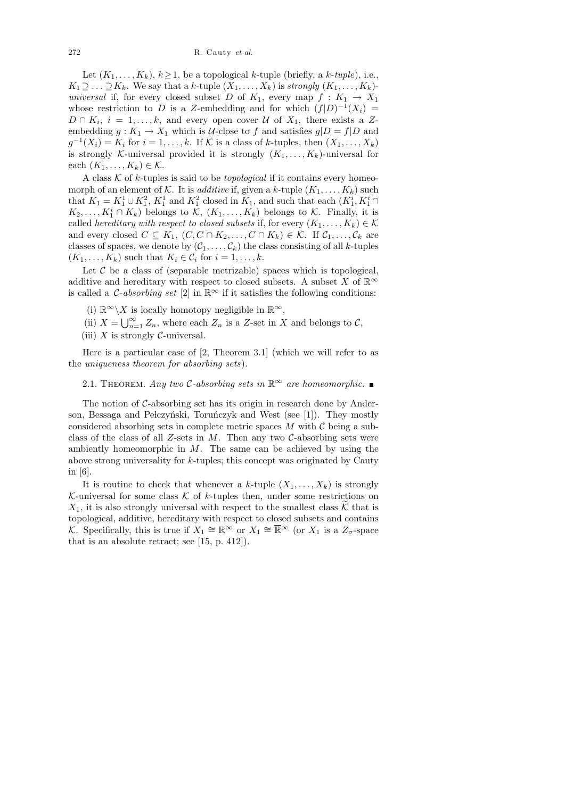Let  $(K_1, \ldots, K_k)$ ,  $k \geq 1$ , be a topological k-tuple (briefly, a k-tuple), i.e.,  $K_1 \supseteq \ldots \supseteq K_k$ . We say that a k-tuple  $(X_1, \ldots, X_k)$  is strongly  $(K_1, \ldots, K_k)$ universal if, for every closed subset D of  $K_1$ , every map  $f: K_1 \to X_1$ whose restriction to D is a Z-embedding and for which  $(f|D)^{-1}(X_i) =$  $D \cap K_i$ ,  $i = 1, \ldots, k$ , and every open cover  $\mathcal U$  of  $X_1$ , there exists a Zembedding  $g: K_1 \to X_1$  which is *U*-close to f and satisfies  $g|D = f|D$  and  $g^{-1}(X_i) = K_i$  for  $i = 1, ..., k$ . If K is a class of k-tuples, then  $(X_1, ..., X_k)$ is strongly K-universal provided it is strongly  $(K_1, \ldots, K_k)$ -universal for each  $(K_1, \ldots, K_k) \in \mathcal{K}$ .

A class  $K$  of k-tuples is said to be *topological* if it contains every homeomorph of an element of K. It is *additive* if, given a k-tuple  $(K_1, \ldots, K_k)$  such that  $K_1 = K_1^1 \cup K_1^2$ ,  $K_1^1$  and  $K_1^2$  closed in  $K_1$ , and such that each  $(K_1^i, K_1^i \cap$  $K_2, \ldots, K_1^i \cap K_k$ ) belongs to  $\mathcal{K}, (K_1, \ldots, K_k)$  belongs to  $\mathcal{K}$ . Finally, it is called hereditary with respect to closed subsets if, for every  $(K_1, \ldots, K_k) \in \mathcal{K}$ and every closed  $C \subseteq K_1$ ,  $(C, C \cap K_2, \ldots, C \cap K_k) \in \mathcal{K}$ . If  $\mathcal{C}_1, \ldots, \mathcal{C}_k$  are classes of spaces, we denote by  $(\mathcal{C}_1, \ldots, \mathcal{C}_k)$  the class consisting of all k-tuples  $(K_1, \ldots, K_k)$  such that  $K_i \in \mathcal{C}_i$  for  $i = 1, \ldots, k$ .

Let  $\mathcal C$  be a class of (separable metrizable) spaces which is topological, additive and hereditary with respect to closed subsets. A subset X of  $\mathbb{R}^{\infty}$ is called a *C-absorbing set* [2] in  $\mathbb{R}^{\infty}$  if it satisfies the following conditions:

- (i)  $\mathbb{R}^{\infty}\backslash X$  is locally homotopy negligible in  $\mathbb{R}^{\infty}$ ,
- (ii)  $X = \bigcup_{n=1}^{\infty} Z_n$ , where each  $Z_n$  is a Z-set in X and belongs to C,
- (iii) X is strongly  $\mathcal{C}$ -universal.

Here is a particular case of [2, Theorem 3.1] (which we will refer to as the uniqueness theorem for absorbing sets).

### 2.1. THEOREM. Any two C-absorbing sets in  $\mathbb{R}^{\infty}$  are homeomorphic.

The notion of  $C$ -absorbing set has its origin in research done by Anderson, Bessaga and Pełczyński, Toruńczyk and West (see [1]). They mostly considered absorbing sets in complete metric spaces  $M$  with  $C$  being a subclass of the class of all Z-sets in M. Then any two  $\mathcal{C}\text{-absorbing sets}$  were ambiently homeomorphic in  $M$ . The same can be achieved by using the above strong universality for k-tuples; this concept was originated by Cauty in [6].

It is routine to check that whenever a k-tuple  $(X_1, \ldots, X_k)$  is strongly K-universal for some class  $K$  of k-tuples then, under some restrictions on  $X_1$ , it is also strongly universal with respect to the smallest class K that is topological, additive, hereditary with respect to closed subsets and contains K. Specifically, this is true if  $X_1 \cong \mathbb{R}^\infty$  or  $X_1 \cong \overline{\mathbb{R}}^\infty$  (or  $X_1$  is a  $Z_\sigma$ -space that is an absolute retract; see [15, p. 412]).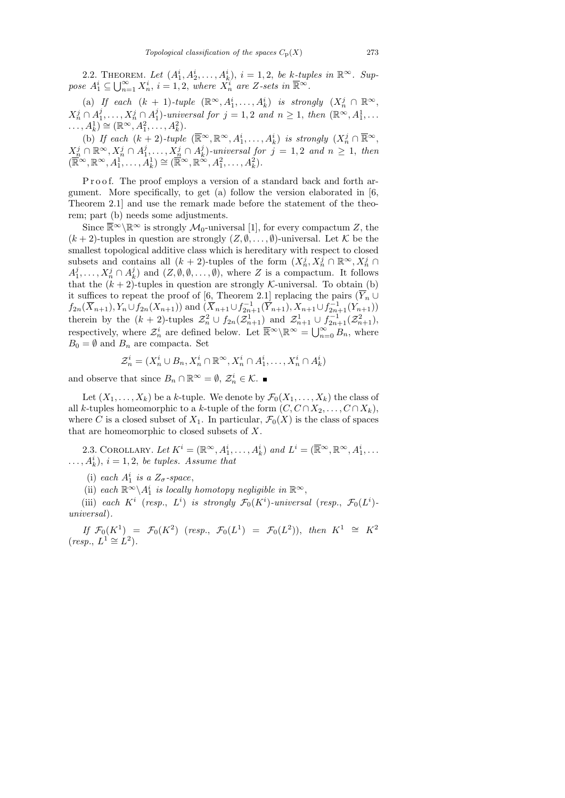2.2. THEOREM. Let  $(A_1^i, A_2^i, \ldots, A_k^i), i = 1, 2$ , be k-tuples in  $\mathbb{R}^{\infty}$ . Suppose  $A_1^i \subseteq \bigcup_{n=1}^{\infty} X_n^i$ ,  $i = 1, 2$ , where  $X_n^i$  are Z-sets in  $\overline{\mathbb{R}}^{\infty}$ .

(a) If each  $(k + 1)$ -tuple  $(\mathbb{R}^{\infty}, A_1^i, ..., A_k^i)$  is strongly  $(X_n^j \cap \mathbb{R}^{\infty},$  $X_n^j\cap A_1^j$  $i_1^j,\ldots,X_n^j\cap A_1^j$  $j_1^j$ -universal for  $j = 1, 2$  and  $n \geq 1$ , then  $(\mathbb{R}^{\infty}, A_1^1, \ldots)$  $\ldots, A_k^1 \cong (\mathbb{R}^\infty, A_1^2, \ldots, A_k^2).$ 

(b) If each  $(k+2)$ -tuple  $(\overline{\mathbb{R}}^{\infty}, \mathbb{R}^{\infty}, A_1^i, \ldots, A_k^i)$  is strongly  $(X_n^j \cap \overline{\mathbb{R}}^{\infty},$  $X_n^j\cap\mathbb{R}^\infty, X_n^j\cap A_1^j$  $i_1,\ldots,X_n^j\cap A_k^j$  $\binom{d}{k}$ -universal for  $j = 1, 2$  and  $n \geq 1$ , then  $(\overline{\mathbb{R}}^{\infty}, \mathbb{R}^{\infty}, A_1^1, \ldots, A_k^1) \cong (\overline{\mathbb{R}}^{\infty}, \mathbb{R}^{\infty}, A_1^2, \ldots, A_k^2).$ 

Proof. The proof employs a version of a standard back and forth argument. More specifically, to get (a) follow the version elaborated in [6, Theorem 2.1] and use the remark made before the statement of the theorem; part (b) needs some adjustments.

Since  $\overline{\mathbb{R}}^{\infty} \backslash \mathbb{R}^{\infty}$  is strongly  $\mathcal{M}_0$ -universal [1], for every compactum Z, the  $(k+2)$ -tuples in question are strongly  $(Z, \emptyset, \ldots, \emptyset)$ -universal. Let K be the smallest topological additive class which is hereditary with respect to closed subsets and contains all  $(k+2)$ -tuples of the form  $(X_n^j, X_n^j \cap \mathbb{R}^\infty, X_n^j \cap$  $A_1^j$  $j_1, \ldots, X_n^j \cap A_k^j$  $\mathcal{L}_k^j$  and  $(Z, \emptyset, \emptyset, \ldots, \emptyset)$ , where Z is a compactum. It follows that the  $(k + 2)$ -tuples in question are strongly *K*-universal. To obtain (b) it suffices to repeat the proof of [6, Theorem 2.1] replacing the pairs  $(Y_n \cup$  $f_{2n}(\overline{X}_{n+1}), Y_n \cup f_{2n}(X_{n+1})$  and  $(\overline{X}_{n+1} \cup f_{2n+1}^{-1}(\overline{Y}_{n+1}), X_{n+1} \cup f_{2n+1}(Y_{n+1}))$ therein by the  $(k+2)$ -tuples  $\mathcal{Z}_n^2 \cup f_{2n}(\mathcal{Z}_{n+1}^1)$  and  $\mathcal{Z}_{n+1}^1 \cup f_{2n+1}^{-1}(\mathcal{Z}_{n+1}^2)$ , respectively, where  $\mathcal{Z}_n^i$  are defined below. Let  $\overline{\mathbb{R}}^{\infty} \backslash \mathbb{R}^{\infty} = \bigcup_{n=0}^{\infty} B_n$ , where  $B_0 = \emptyset$  and  $B_n$  are compacta. Set

$$
\mathcal{Z}_n^i = (X_n^i \cup B_n, X_n^i \cap \mathbb{R}^\infty, X_n^i \cap A_1^i, \dots, X_n^i \cap A_k^i)
$$

and observe that since  $B_n \cap \mathbb{R}^{\infty} = \emptyset$ ,  $\mathcal{Z}_n^i \in \mathcal{K}$ .

Let  $(X_1, \ldots, X_k)$  be a k-tuple. We denote by  $\mathcal{F}_0(X_1, \ldots, X_k)$  the class of all k-tuples homeomorphic to a k-tuple of the form  $(C, C \cap X_2, \ldots, C \cap X_k)$ , where C is a closed subset of  $X_1$ . In particular,  $\mathcal{F}_0(X)$  is the class of spaces that are homeomorphic to closed subsets of X.

2.3. COROLLARY. Let  $K^i = (\mathbb{R}^\infty, A_1^i, \ldots, A_k^i)$  and  $L^i = (\overline{\mathbb{R}}^\infty, \mathbb{R}^\infty, A_1^i, \ldots, A_k^i)$  $\dots, A_k^i$ ,  $i = 1, 2$ , be tuples. Assume that

(i) each  $A_1^i$  is a  $Z_\sigma$ -space,

(ii) each  $\mathbb{R}^{\infty} \backslash A_1^i$  is locally homotopy negligible in  $\mathbb{R}^{\infty}$ ,

(iii) each  $K^i$  (resp.,  $L^i$ ) is strongly  $\mathcal{F}_0(K^i)$ -universal (resp.,  $\mathcal{F}_0(L^i)$ universal).

If  $\mathcal{F}_0(K^1) = \mathcal{F}_0(K^2)$  (resp.,  $\mathcal{F}_0(L^1) = \mathcal{F}_0(L^2)$ ), then  $K^1 \cong K^2$  $(resp., L<sup>1</sup> \cong L<sup>2</sup>).$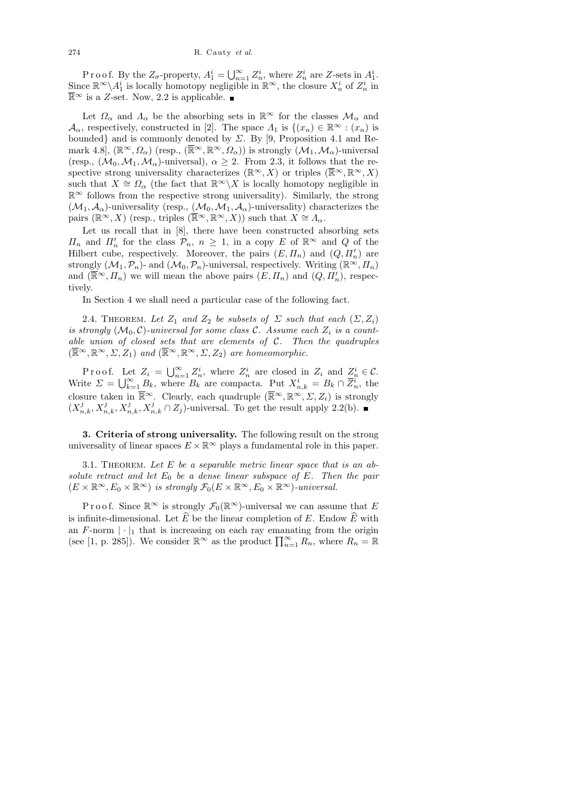P r o o f. By the  $Z_{\sigma}$ -property,  $A_1^i = \bigcup_{n=1}^{\infty} Z_n^i$ , where  $Z_n^i$  are Z-sets in  $A_1^i$ . Since  $\mathbb{R}^{\infty}\backslash A_1^i$  is locally homotopy negligible in  $\mathbb{R}^{\infty}$ , the closure  $X_n^i$  of  $Z_n^i$  in  $\overline{\mathbb{R}}$ <sup>∞</sup> is a Z-set. Now, 2.2 is applicable. ■

Let  $\Omega_{\alpha}$  and  $\Lambda_{\alpha}$  be the absorbing sets in  $\mathbb{R}^{\infty}$  for the classes  $\mathcal{M}_{\alpha}$  and  $\mathcal{A}_{\alpha}$ , respectively, constructed in [2]. The space  $\Lambda_1$  is  $\{(x_n) \in \mathbb{R}^{\infty} : (x_n)$  is bounded} and is commonly denoted by  $\Sigma$ . By [9, Proposition 4.1 and Remark 4.8],  $(\mathbb{R}^{\infty}, \Omega_{\alpha})$  (resp.,  $(\overline{\mathbb{R}}^{\infty}, \mathbb{R}^{\infty}, \Omega_{\alpha})$ ) is strongly  $(\mathcal{M}_1, \mathcal{M}_{\alpha})$ -universal (resp.,  $(\mathcal{M}_0, \mathcal{M}_1, \mathcal{M}_\alpha)$ -universal),  $\alpha \geq 2$ . From 2.3, it follows that the respective strong universality characterizes ( $\mathbb{R}^{\infty}, X$ ) or triples ( $\overline{\mathbb{R}}^{\infty}, \mathbb{R}^{\infty}, X$ ) such that  $X \cong \Omega_{\alpha}$  (the fact that  $\mathbb{R}^{\infty}\backslash X$  is locally homotopy negligible in  $\mathbb{R}^{\infty}$  follows from the respective strong universality). Similarly, the strong  $(\mathcal{M}_1, \mathcal{A}_\alpha)$ -universality (resp.,  $(\mathcal{M}_0, \mathcal{M}_1, \mathcal{A}_\alpha)$ -universality) characterizes the pairs ( $\mathbb{R}^{\infty}, X$ ) (resp., triples ( $\overline{\mathbb{R}}^{\infty}, \mathbb{R}^{\infty}, X$ )) such that  $X \cong \Lambda_{\alpha}$ .

Let us recall that in [8], there have been constructed absorbing sets  $\Pi_n$  and  $\Pi'_n$  for the class  $\mathcal{P}_n$ ,  $n \geq 1$ , in a copy E of  $\mathbb{R}^{\infty}$  and Q of the Hilbert cube, respectively. Moreover, the pairs  $(E, \Pi_n)$  and  $(Q, \Pi'_n)$  are strongly  $(\mathcal{M}_1,\mathcal{P}_n)$ - and  $(\mathcal{M}_0,\mathcal{P}_n)$ -universal, respectively. Writing  $(\mathbb{R}^{\infty},\Pi_n)$ and  $(\overline{\mathbb{R}}^{\infty}, \overline{H}_n)$  we will mean the above pairs  $(E, \overline{H}_n)$  and  $(Q, \overline{H}'_n)$ , respectively.

In Section 4 we shall need a particular case of the following fact.

2.4. THEOREM. Let  $Z_1$  and  $Z_2$  be subsets of  $\Sigma$  such that each  $(\Sigma, Z_i)$ is strongly  $(\mathcal{M}_0, \mathcal{C})$ -universal for some class  $\mathcal{C}$ . Assume each  $Z_i$  is a countable union of closed sets that are elements of  $C$ . Then the quadruples  $(\overline{\mathbb{R}}^{\infty}, \mathbb{R}^{\infty}, \Sigma, Z_1)$  and  $(\overline{\mathbb{R}}^{\infty}, \mathbb{R}^{\infty}, \Sigma, Z_2)$  are homeomorphic.

P r o o f. Let  $Z_i = \bigcup_{n=1}^{\infty} Z_n^i$ , where  $Z_n^i$  are closed in  $Z_i$  and  $\underline{Z}_n^i \in \mathcal{C}$ . Write  $\Sigma = \bigcup_{k=1}^{\infty} B_k$ , where  $B_k$  are compacta. Put  $X_{n,k}^i = B_k \cap \overline{Z}_n^i$ , the closure taken in  $\overline{\mathbb{R}}^{\infty}$ . Clearly, each quadruple  $(\overline{\mathbb{R}}^{\infty}, \mathbb{R}^{\infty}, \Sigma, Z_i)$  is strongly  $(X_{n,k}^j, X_{n,k}^j, X_{n,k}^j, X_{n,k}^j \cap Z_j)$ -universal. To get the result apply 2.2(b).

3. Criteria of strong universality. The following result on the strong universality of linear spaces  $E \times \mathbb{R}^{\infty}$  plays a fundamental role in this paper.

3.1. THEOREM. Let  $E$  be a separable metric linear space that is an absolute retract and let  $E_0$  be a dense linear subspace of E. Then the pair  $(E \times \mathbb{R}^{\infty}, E_0 \times \mathbb{R}^{\infty})$  is strongly  $\mathcal{F}_0(E \times \mathbb{R}^{\infty}, E_0 \times \mathbb{R}^{\infty})$ -universal.

P r o o f. Since  $\mathbb{R}^{\infty}$  is strongly  $\mathcal{F}_0(\mathbb{R}^{\infty})$ -universal we can assume that E is infinite-dimensional. Let  $\widehat{E}$  be the linear completion of E. Endow  $\widehat{E}$  with an  $F$ -norm  $|\cdot|_1$  that is increasing on each ray emanating from the origin (see [1, p. 285]). We consider  $\mathbb{R}^{\infty}$  as the product  $\prod_{n=1}^{\infty} R_n$ , where  $R_n = \mathbb{R}$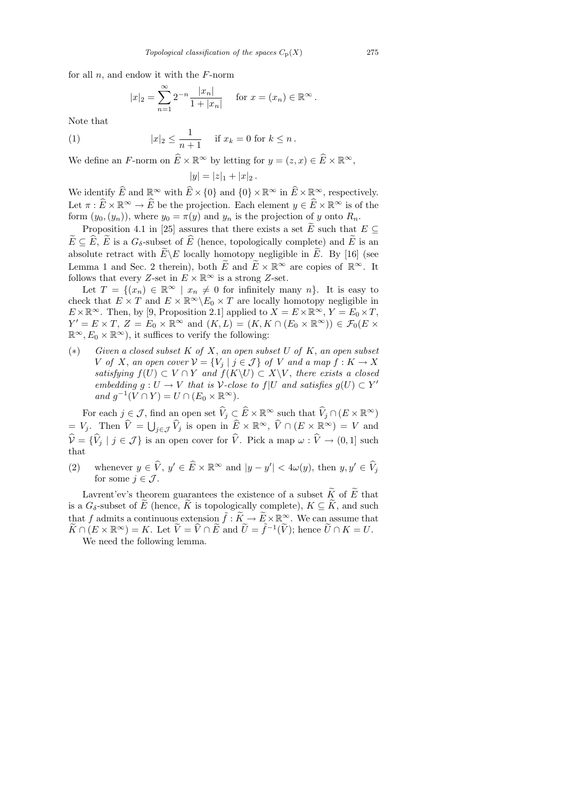for all  $n$ , and endow it with the  $F$ -norm

$$
|x|_2 = \sum_{n=1}^{\infty} 2^{-n} \frac{|x_n|}{1+|x_n|}
$$
 for  $x = (x_n) \in \mathbb{R}^{\infty}$ .

Note that

(1) 
$$
|x|_2 \le \frac{1}{n+1}
$$
 if  $x_k = 0$  for  $k \le n$ .

We define an F-norm on  $\widehat{E} \times \mathbb{R}^{\infty}$  by letting for  $y = (z, x) \in \widehat{E} \times \mathbb{R}^{\infty}$ ,

$$
|y| = |z|_1 + |x|_2.
$$

We identify  $\widehat{E}$  and  $\mathbb{R}^{\infty}$  with  $\widehat{E}\times\{0\}$  and  $\{0\}\times\mathbb{R}^{\infty}$  in  $\widehat{E}\times\mathbb{R}^{\infty}$ , respectively. Let  $\pi : \widehat{E} \times \mathbb{R}^{\infty} \to \widehat{E}$  be the projection. Each element  $y \in \widehat{E} \times \mathbb{R}^{\infty}$  is of the form  $(y_0,(y_n))$ , where  $y_0 = \pi(y)$  and  $y_n$  is the projection of y onto  $R_n$ .

Proposition 4.1 in [25] assures that there exists a set  $\widetilde{E}$  such that  $E \subseteq$  $\widetilde{E} \subseteq \widehat{E}$ ,  $\widetilde{E}$  is a  $G_{\delta}$ -subset of  $\widehat{E}$  (hence, topologically complete) and  $\widetilde{E}$  is an absolute retract with  $\widetilde{E} \backslash E$  locally homotopy negligible in  $\widetilde{E}$ . By [16] (see Lemma 1 and Sec. 2 therein), both  $\widetilde{E}$  and  $\widetilde{E} \times \mathbb{R}^{\infty}$  are copies of  $\mathbb{R}^{\infty}$ . It follows that every Z-set in  $E \times \mathbb{R}^{\infty}$  is a strong Z-set.

Let  $T = \{(x_n) \in \mathbb{R}^\infty \mid x_n \neq 0 \text{ for infinitely many } n\}.$  It is easy to check that  $E \times T$  and  $E \times \mathbb{R}^{\infty} \backslash E_0 \times T$  are locally homotopy negligible in  $E \times \mathbb{R}^{\infty}$ . Then, by [9, Proposition 2.1] applied to  $X = E \times \mathbb{R}^{\infty}$ ,  $Y = E_0 \times T$ ,  $Y' = E \times T$ ,  $Z = E_0 \times \mathbb{R}^\infty$  and  $(K, L) = (K, K \cap (E_0 \times \mathbb{R}^\infty)) \in \mathcal{F}_0(E \times$  $\mathbb{R}^{\infty}, E_0 \times \mathbb{R}^{\infty}$ , it suffices to verify the following:

 $(*)$  Given a closed subset K of X, an open subset U of K, an open subset V of X, an open cover  $V = \{V_i \mid j \in \mathcal{J}\}\$  of V and a map  $f: K \to X$ satisfying  $f(U) \subset V \cap Y$  and  $f(K\setminus U) \subset X\setminus V$ , there exists a closed embedding  $g: U \to V$  that is V-close to  $f|U$  and satisfies  $g(U) \subset Y'$ and  $g^{-1}(V \cap Y) = U \cap (E_0 \times \mathbb{R}^{\infty}).$ 

For each  $j \in \mathcal{J}$ , find an open set  $\widehat{V}_j \subset \widehat{E} \times \mathbb{R}^\infty$  such that  $\widehat{V}_j \cap (E \times \mathbb{R}^\infty)$  $= V_j$ . Then  $\widehat{V} = \bigcup_{j \in \mathcal{J}} \widehat{V}_j$  is open in  $\widehat{E} \times \mathbb{R}^{\infty}$ ,  $\widehat{V} \cap (E \times \mathbb{R}^{\infty}) = V$  and  $\hat{\mathcal{V}} = {\{\hat{V}_j | j \in \mathcal{J}\}}$  is an open cover for  $\hat{V}$ . Pick a map  $\omega : \hat{V} \to (0, 1]$  such that

(2) whenever  $y \in \widehat{V}$ ,  $y' \in \widehat{E} \times \mathbb{R}^{\infty}$  and  $|y - y'| < 4\omega(y)$ , then  $y, y' \in \widehat{V}_j$ for some  $j \in \mathcal{J}$ .

Lavrent'ev's theorem guarantees the existence of a subset  $\widetilde{K}$  of  $\widetilde{E}$  that is a  $G_{\delta}$ -subset of  $\widetilde{E}$  (hence,  $\widetilde{K}$  is topologically complete),  $K \subseteq \widetilde{K}$ , and such that f admits a continuous extension  $\tilde{f}: K \to \tilde{E} \times \mathbb{R}^{\infty}$ . We can assume that  $\widetilde{K} \cap (E \times \mathbb{R}^{\infty}) = K$ . Let  $\widetilde{V} = \widehat{V} \cap \widetilde{E}$  and  $\widetilde{U} = \widetilde{f}^{-1}(\widetilde{V})$ ; hence  $\widetilde{U} \cap K = U$ . We need the following lemma.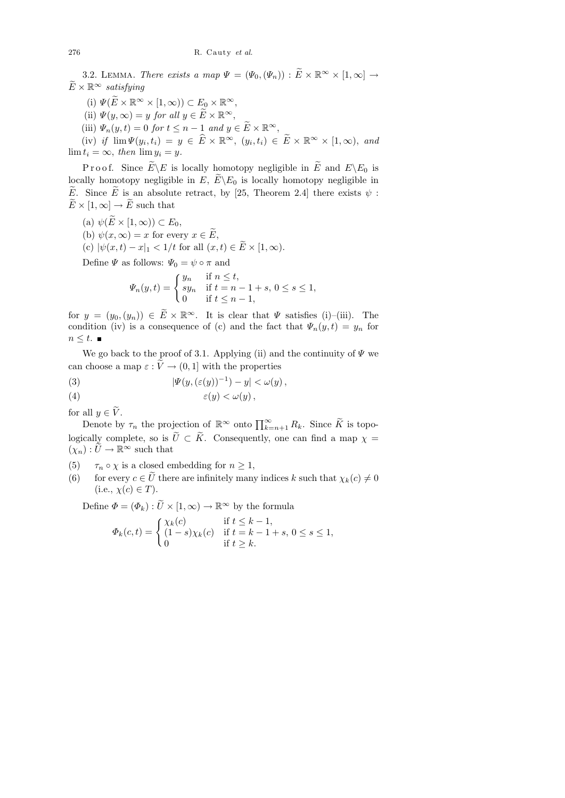3.2. LEMMA. There exists a map  $\Psi = (\Psi_0, (\Psi_n)) : \widetilde{E} \times \mathbb{R}^\infty \times [1, \infty] \to$  $\widetilde{E} \times \mathbb{R}^\infty$  satisfying

- (i)  $\Psi(\widetilde{E} \times \mathbb{R}^{\infty} \times [1, \infty)) \subset E_0 \times \mathbb{R}^{\infty}$ ,
- (ii)  $\Psi(y,\infty) = y$  for all  $y \in \widetilde{E} \times \mathbb{R}^{\infty}$ ,
- (iii)  $\Psi_n(y,t) = 0$  for  $t \leq n-1$  and  $y \in \widetilde{E} \times \mathbb{R}^{\infty}$ ,

(iv) if  $\lim \Psi(y_i, t_i) = y \in \widehat{E} \times \mathbb{R}^{\infty}, (y_i, t_i) \in \widetilde{E} \times \mathbb{R}^{\infty} \times [1, \infty),$  and  $\lim t_i = \infty$ , then  $\lim y_i = y$ .

P r o o f. Since  $E\backslash E$  is locally homotopy negligible in  $E$  and  $E\backslash E_0$  is locally homotopy negligible in E,  $\widetilde{E} \backslash E_0$  is locally homotopy negligible in  $\widetilde{E}$ . Since  $\widetilde{E}$  is an absolute retract, by [25, Theorem 2.4] there exists  $\psi$ :  $\widetilde{E} \times [1,\infty] \to \widetilde{E}$  such that

- (a)  $\psi(\widetilde{E} \times [1,\infty)) \subset E_0$ ,
- (b)  $\psi(x,\infty) = x$  for every  $x \in \widetilde{E}$ ,
- (c)  $|\psi(x,t) x|_1 < 1/t$  for all  $(x,t) \in \widetilde{E} \times [1,\infty)$ .

Define  $\Psi$  as follows:  $\Psi_0 = \psi \circ \pi$  and

$$
\varPsi_n(y,t)=\begin{cases} y_n & \text{if } n\leq t,\\ sy_n & \text{if } t=n-1+s,\, 0\leq s\leq 1,\\ 0 & \text{if } t\leq n-1, \end{cases}
$$

for  $y = (y_0, (y_n)) \in \widetilde{E} \times \mathbb{R}^\infty$ . It is clear that  $\Psi$  satisfies (i)–(iii). The condition (iv) is a consequence of (c) and the fact that  $\Psi_n(y,t) = y_n$  for  $n \leq t$ .

We go back to the proof of 3.1. Applying (ii) and the continuity of  $\Psi$  we can choose a map  $\varepsilon : \tilde{V} \to (0, 1]$  with the properties

(3) 
$$
|\Psi(y,(\varepsilon(y))^{-1}) - y| < \omega(y),
$$

(4) 
$$
\varepsilon(y) < \omega(y),
$$

for all  $y \in \widetilde{V}$ .

Denote by  $\tau_n$  the projection of  $\mathbb{R}^{\infty}$  onto  $\prod_{k=n+1}^{\infty} R_k$ . Since  $\widetilde{K}$  is topologically complete, so is  $\tilde{U} \subset \tilde{K}$ . Consequently, one can find a map  $\chi =$  $(\chi_n): U \to \mathbb{R}^\infty$  such that

- (5)  $\tau_n \circ \chi$  is a closed embedding for  $n \geq 1$ ,
- (6) for every  $c \in \tilde{U}$  there are infinitely many indices k such that  $\chi_k(c) \neq 0$  $(i.e., \chi(c) \in T).$

Define  $\Phi = (\Phi_k) : \tilde{U} \times [1,\infty) \to \mathbb{R}^\infty$  by the formula

$$
\Phi_k(c,t) = \begin{cases} \chi_k(c) & \text{if } t \leq k-1, \\ (1-s)\chi_k(c) & \text{if } t = k-1+s, \ 0 \leq s \leq 1, \\ 0 & \text{if } t \geq k. \end{cases}
$$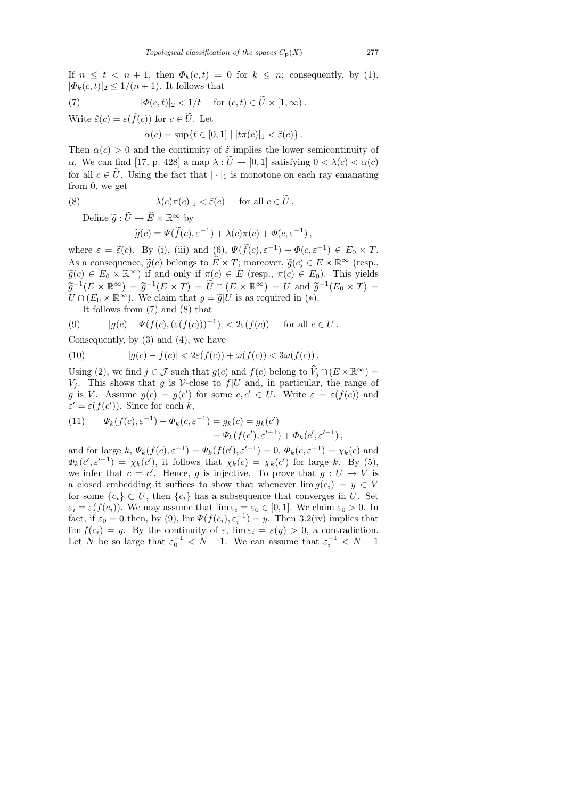If  $n \leq t \leq n+1$ , then  $\Phi_k(c, t) = 0$  for  $k \leq n$ ; consequently, by (1),  $|\Phi_k(c, t)|_2 \leq 1/(n+1)$ . It follows that

(7) 
$$
|\Phi(c,t)|_2 < 1/t \quad \text{for } (c,t) \in \tilde{U} \times [1,\infty).
$$

Write  $\tilde{\varepsilon}(c) = \varepsilon(\tilde{f}(c))$  for  $c \in \tilde{U}$ . Let

$$
\alpha(c) = \sup \{ t \in [0,1] \mid |t\pi(c)|_1 < \tilde{\varepsilon}(c) \}.
$$

Then  $\alpha(c) > 0$  and the continuity of  $\tilde{\varepsilon}$  implies the lower semicontinuity of α. We can find [17, p. 428] a map  $\lambda : U \to [0,1]$  satisfying  $0 < \lambda(c) < \alpha(c)$ for all  $c \in \tilde{U}$ . Using the fact that  $|\cdot|_1$  is monotone on each ray emanating from 0, we get

(8) 
$$
|\lambda(c)\pi(c)|_1 < \tilde{\varepsilon}(c) \quad \text{for all } c \in \tilde{U}.
$$

Define  $\widetilde{q}: \widetilde{U} \to \widehat{E} \times \mathbb{R}^{\infty}$  by

$$
\widetilde{g}(c) = \Psi(\widetilde{f}(c), \varepsilon^{-1}) + \lambda(c)\pi(c) + \Phi(c, \varepsilon^{-1}),
$$

where  $\varepsilon = \tilde{\varepsilon}(c)$ . By (i), (iii) and (6),  $\Psi(\tilde{f}(c), \varepsilon^{-1}) + \Phi(c, \varepsilon^{-1}) \in E_0 \times T$ . As a consequence,  $\tilde{g}(c)$  belongs to  $\hat{E} \times T$ ; moreover,  $\tilde{g}(c) \in E \times \mathbb{R}^{\infty}$  (resp.,  $\widetilde{g}(c) \in E_0 \times \mathbb{R}^{\infty}$ ) if and only if  $\pi(c) \in E$  (resp.,  $\pi(c) \in E_0$ ). This yields  $\widetilde{g}^{-1}(E \times \mathbb{R}^{\infty}) = \widetilde{g}^{-1}(E \times T) = \widetilde{U} \cap (E \times \mathbb{R}^{\infty}) = U$  and  $\widetilde{g}^{-1}(E_0 \times T) =$ <br> $U \cap (E_1 \times \mathbb{R}^{\infty})$ . We claim that  $g = \widetilde{g}[U]$  is as required in (x)  $U \cap (E_0 \times \mathbb{R}^{\infty})$ . We claim that  $g = \tilde{g}|U$  is as required in (\*).

It follows from (7) and (8) that

(9) 
$$
|g(c) - \Psi(f(c), (\varepsilon(f(c)))^{-1})| < 2\varepsilon(f(c)) \quad \text{for all } c \in U.
$$

Consequently, by  $(3)$  and  $(4)$ , we have

(10) 
$$
|g(c) - f(c)| < 2\varepsilon(f(c)) + \omega(f(c)) < 3\omega(f(c)).
$$

Using (2), we find  $j \in \mathcal{J}$  such that  $g(c)$  and  $f(c)$  belong to  $\widehat{V}_j \cap (E \times \mathbb{R}^{\infty}) =$  $V_j$ . This shows that g is V-close to  $f|U$  and, in particular, the range of g is V. Assume  $g(c) = g(c')$  for some  $c, c' \in U$ . Write  $\varepsilon = \varepsilon(f(c))$  and  $\varepsilon' = \varepsilon(f(c'))$ . Since for each k,

(11) 
$$
\Psi_k(f(c), \varepsilon^{-1}) + \Phi_k(c, \varepsilon^{-1}) = g_k(c) = g_k(c') \n= \Psi_k(f(c'), \varepsilon'^{-1}) + \Phi_k(c', \varepsilon'^{-1}),
$$

and for large  $k, \Psi_k(f(c), \varepsilon^{-1}) = \Psi_k(f(c'), \varepsilon^{-1}) = 0, \Phi_k(c, \varepsilon^{-1}) = \chi_k(c)$  and  $\Phi_k(c', \varepsilon'^{-1}) = \chi_k(c')$ , it follows that  $\chi_k(c) = \chi_k(c')$  for large k. By (5), we infer that  $c = c'$ . Hence, g is injective. To prove that  $g: U \to V$  is a closed embedding it suffices to show that whenever  $\lim g(c_i) = y \in V$ for some  ${c_i} \subset U$ , then  ${c_i}$  has a subsequence that converges in U. Set  $\varepsilon_i = \varepsilon(f(c_i))$ . We may assume that  $\lim \varepsilon_i = \varepsilon_0 \in [0, 1]$ . We claim  $\varepsilon_0 > 0$ . In fact, if  $\varepsilon_0 = 0$  then, by (9),  $\lim \Psi(f(c_i), \varepsilon_i^{-1}) = y$ . Then 3.2(iv) implies that  $\lim f(c_i) = y$ . By the continuity of  $\varepsilon$ ,  $\lim \varepsilon_i = \varepsilon(y) > 0$ , a contradiction. Let N be so large that  $\varepsilon_0^{-1} < N - 1$ . We can assume that  $\varepsilon_i^{-1} < N - 1$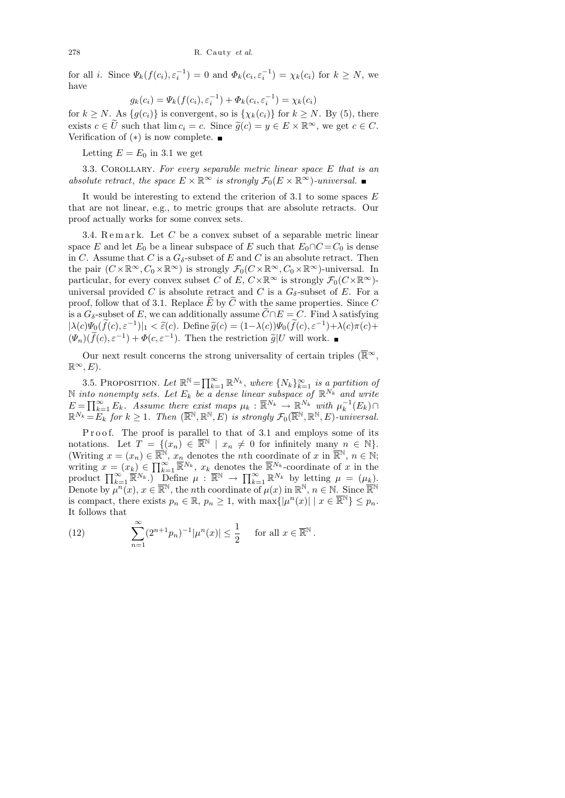for all *i*. Since  $\Psi_k(f(c_i), \varepsilon_i^{-1}) = 0$  and  $\Phi_k(c_i, \varepsilon_i^{-1}) = \chi_k(c_i)$  for  $k \geq N$ , we have

$$
g_k(c_i) = \Psi_k(f(c_i), \varepsilon_i^{-1}) + \Phi_k(c_i, \varepsilon_i^{-1}) = \chi_k(c_i)
$$

for  $k \geq N$ . As  $\{g(c_i)\}\$ is convergent, so is  $\{\chi_k(c_i)\}\$ for  $k \geq N$ . By (5), there exists  $c \in U$  such that  $\lim c_i = c$ . Since  $\widetilde{g}(c) = y \in E \times \mathbb{R}^\infty$ , we get  $c \in C$ . Verification of  $(*)$  is now complete. ■

Letting  $E = E_0$  in 3.1 we get

3.3. COROLLARY. For every separable metric linear space  $E$  that is an absolute retract, the space  $E \times \mathbb{R}^{\infty}$  is strongly  $\mathcal{F}_0(E \times \mathbb{R}^{\infty})$ -universal.

It would be interesting to extend the criterion of  $3.1$  to some spaces  $E$ that are not linear, e.g., to metric groups that are absolute retracts. Our proof actually works for some convex sets.

3.4. Remark. Let  $C$  be a convex subset of a separable metric linear space E and let  $E_0$  be a linear subspace of E such that  $E_0 \cap C = C_0$  is dense in C. Assume that C is a  $G_{\delta}$ -subset of E and C is an absolute retract. Then the pair  $(C \times \mathbb{R}^{\infty}, C_0 \times \mathbb{R}^{\infty})$  is strongly  $\mathcal{F}_0(C \times \mathbb{R}^{\infty}, C_0 \times \mathbb{R}^{\infty})$ -universal. In particular, for every convex subset C of E,  $C \times \mathbb{R}^{\infty}$  is strongly  $\mathcal{F}_0(C \times \mathbb{R}^{\infty})$ universal provided C is absolute retract and C is a  $G_{\delta}$ -subset of E. For a proof, follow that of 3.1. Replace  $E$  by  $C$  with the same properties. Since  $C$ is a  $G_{\delta}$ -subset of E, we can additionally assume  $\widetilde{C} \cap E = C$ . Find  $\lambda$  satisfying  $|\lambda(c)\Psi_0(\tilde{f}(c), \varepsilon^{-1})|_1 < \tilde{\varepsilon}(c)$ . Define  $\tilde{g}(c) = (1-\lambda(c))\Psi_0(\tilde{f}(c), \varepsilon^{-1}) + \lambda(c)\pi(c) +$  $(\Psi_n)(\tilde{f}(c), \varepsilon^{-1}) + \Phi(c, \varepsilon^{-1})$ . Then the restriction  $\tilde{g}|U$  will work.

Our next result concerns the strong universality of certain triples ( $\overline{\mathbb{R}}^{\infty}$ ,  $\mathbb{R}^{\infty}, E$ ).

3.5. PROPOSITION. Let  $\mathbb{R}^{\mathbb{N}} = \prod_{k=1}^{\infty} \mathbb{R}^{N_k}$ , where  $\{N_k\}_{k=1}^{\infty}$  is a partition of N into nonempty sets. Let  $E_k$  be a dense linear subspace of  $\mathbb{R}^{N_k}$  and write  $E = \prod_{k=1}^{\infty} E_k$ . Assume there exist maps  $\mu_k : \overline{\mathbb{R}}^{N_k} \to \mathbb{R}^{N_k}$  with  $\mu_k^{-1}(E_k) \cap$  $\mathbb{R}^{N_k} = E_k$  for  $k \geq 1$ . Then  $(\overline{\mathbb{R}}^{\mathbb{N}}, \mathbb{R}^{\mathbb{N}}, E)$  is strongly  $\mathcal{F}_0(\overline{\mathbb{R}}^{\mathbb{N}}, \mathbb{R}^{\mathbb{N}}, E)$ -universal.

Proof. The proof is parallel to that of 3.1 and employs some of its notations. Let  $\hat{T} = \{ (x_n) \in \overline{\mathbb{R}}^{\mathbb{N}} \mid x_n \neq 0 \text{ for infinitely many } n \in \mathbb{N} \}.$ (Writing  $x = (x_n) \in \overline{\mathbb{R}}^{\mathbb{N}}, x_n$  denotes the *n*th coordinate of x in  $\overline{\mathbb{R}}^{\mathbb{N}}, n \in \mathbb{N}$ ; writing  $x = (x_k) \in \prod_{k=1}^{\infty} \overline{\mathbb{R}}^{N_k}$ ,  $x_k$  denotes the  $\overline{\mathbb{R}}^{N_k}$ -coordinate of x in the product  $\prod_{k=1}^{\infty} \overline{\mathbb{R}}^{N_k}$ .) Define  $\mu : \overline{\mathbb{R}}^{\mathbb{N}} \to \prod_{k=1}^{\infty} \mathbb{R}^{N_k}$  by letting  $\mu = (\mu_k)$ . Denote by  $\mu^{n}(x), x \in \overline{\mathbb{R}}^{\mathbb{N}},$  the nth coordinate of  $\mu(x)$  in  $\mathbb{R}^{\mathbb{N}}, n \in \mathbb{N}$ . Since  $\overline{\mathbb{R}}^{\mathbb{N}}$ is compact, there exists  $p_n \in \mathbb{R}, p_n \geq 1$ , with  $\max\{|\mu^n(x)| \mid x \in \overline{\mathbb{R}}^{\mathbb{N}}\} \leq p_n$ . It follows that

(12) 
$$
\sum_{n=1}^{\infty} (2^{n+1} p_n)^{-1} |\mu^n(x)| \leq \frac{1}{2} \quad \text{for all } x \in \mathbb{R}^{\mathbb{N}}.
$$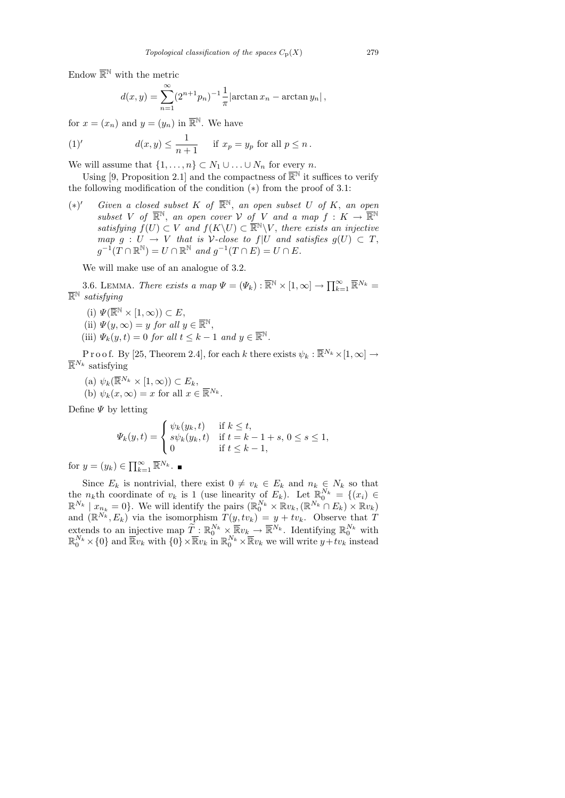Endow  $\overline{\mathbb{R}}^{\mathbb{N}}$  with the metric

$$
d(x,y) = \sum_{n=1}^{\infty} (2^{n+1}p_n)^{-1} \frac{1}{\pi} |\arctan x_n - \arctan y_n|,
$$

for  $x = (x_n)$  and  $y = (y_n)$  in  $\overline{\mathbb{R}}^{\mathbb{N}}$ . We have

(1)' 
$$
d(x,y) \leq \frac{1}{n+1} \quad \text{if } x_p = y_p \text{ for all } p \leq n.
$$

We will assume that  $\{1, \ldots, n\} \subset N_1 \cup \ldots \cup N_n$  for every n.

Using [9, Proposition 2.1] and the compactness of  $\overline{\mathbb{R}}^{\mathbb{N}}$  it suffices to verify the following modification of the condition (∗) from the proof of 3.1:

 $(*)'$ *Civen a closed subset* K of  $\overline{\mathbb{R}}^{\mathbb{N}}$ , an open subset U of K, an open subset V of  $\overline{\mathbb{R}}^{\mathbb{N}}$ , an open cover V of V and a map  $f: K \to \overline{\mathbb{R}}^{\mathbb{N}}$ satisfying  $f(U) \subset V$  and  $f(K\backslash U) \subset \overline{\mathbb{R}}^{\mathbb{N}}\backslash V$ , there exists an injective map  $g: U \to V$  that is V-close to  $f|U$  and satisfies  $g(U) \subset T$ ,  $g^{-1}(T \cap \mathbb{R}^{\mathbb{N}}) = U \cap \mathbb{R}^{\mathbb{N}}$  and  $g^{-1}(T \cap E) = U \cap E$ .

We will make use of an analogue of 3.2.

3.6. LEMMA. There exists a map  $\Psi = (\Psi_k) : \overline{\mathbb{R}}^N \times [1, \infty] \to \prod_{k=1}^{\infty} \overline{\mathbb{R}}^{N_k} =$  $\overline{\mathbb{R}}^{\mathbb{N}}$  satisfying

- (i)  $\Psi(\overline{\mathbb{R}}^{\mathbb{N}} \times [1, \infty)) \subset E$ ,
- (ii)  $\Psi(y,\infty) = y$  for all  $y \in \overline{\mathbb{R}}^{\mathbb{N}},$
- (iii)  $\Psi_k(y,t) = 0$  for all  $t \leq k-1$  and  $y \in \overline{\mathbb{R}^N}$ .

P r o o f. By [25, Theorem 2.4], for each k there exists  $\psi_k : \overline{\mathbb{R}}^{N_k} \times [1, \infty] \to$  $\overline{\mathbb{R}}^{N_k}$  satisfying

- (a)  $\psi_k(\overline{\mathbb{R}}^{N_k} \times [1,\infty)) \subset E_k$ ,
- (b)  $\psi_k(x,\infty) = x$  for all  $x \in \overline{\mathbb{R}}^{N_k}$ .

Define  $\Psi$  by letting

$$
\Psi_k(y,t) = \begin{cases} \psi_k(y_k,t) & \text{if } k \le t, \\ s\psi_k(y_k,t) & \text{if } t = k - 1 + s, \ 0 \le s \le 1, \\ 0 & \text{if } t \le k - 1, \end{cases}
$$

for  $y = (y_k) \in \prod_{k=1}^{\infty} \overline{\mathbb{R}}^{N_k}$ .

Since  $E_k$  is nontrivial, there exist  $0 \neq v_k \in E_k$  and  $n_k \in N_k$  so that the  $n_k$ th coordinate of  $v_k$  is 1 (use linearity of  $E_k$ ). Let  $\mathbb{R}_0^{N_k} = \{(x_i) \in$  $\mathbb{R}^{N_k} \mid x_{n_k} = 0$ . We will identify the pairs  $(\mathbb{R}_0^{N_k} \times \mathbb{R} v_k, (\mathbb{R}^{N_k} \cap E_k) \times \mathbb{R} v_k)$ and  $(\mathbb{R}^{N_k}, E_k)$  via the isomorphism  $T(y, tv_k) = y + tv_k$ . Observe that T extends to an injective map  $\widetilde{T}: \mathbb{R}_{0}^{N_{k}} \times \overline{\mathbb{R}} v_{k} \to \overline{\mathbb{R}}^{N_{k}}$ . Identifying  $\mathbb{R}_{0}^{N_{k}}$  with  $\mathbb{R}_0^{N_k} \times \{0\}$  and  $\overline{\mathbb{R}}v_k$  with  $\{0\} \times \overline{\mathbb{R}}v_k$  in  $\mathbb{R}_0^{N_k} \times \overline{\mathbb{R}}v_k$  we will write  $y+tv_k$  instead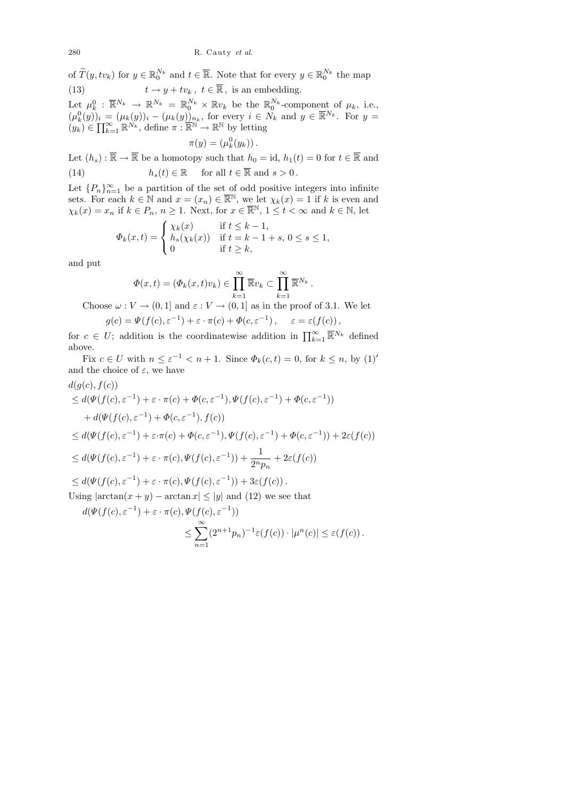280 R. Cauty *et al.*

of  $\widetilde{T}(y, tv_k)$  for  $y \in \mathbb{R}_0^{N_k}$  and  $t \in \overline{\mathbb{R}}$ . Note that for every  $y \in \mathbb{R}_0^{N_k}$  the map (13)  $t \to y + tv_k, t \in \overline{\mathbb{R}}, \text{ is an embedding.}$ 

Let  $\mu_k^0 : \overline{\mathbb{R}}^{N_k} \to \mathbb{R}^{N_k} = \mathbb{R}_0^{N_k} \times \mathbb{R} v_k$  be the  $\mathbb{R}_0^{N_k}$ -component of  $\mu_k$ , i.e.,  $(\mu_k^0(y))_i = (\mu_k(y))_i - (\mu_k(y))_{n_k}$ , for every  $i \in N_k$  and  $y \in \overline{\mathbb{R}}^{N_k}$ . For  $y =$  $(y_k) \in \prod_{k=1}^{\infty} \mathbb{R}^{N_k}$ , define  $\pi : \overline{\mathbb{R}^N} \to \mathbb{R}^N$  by letting

$$
\pi(y) = (\mu_k^0(y_k)).
$$

Let  $(h_s) : \overline{\mathbb{R}} \to \overline{\mathbb{R}}$  be a homotopy such that  $h_0 = id$ ,  $h_1(t) = 0$  for  $t \in \overline{\mathbb{R}}$  and (14)  $h_s(t) \in \mathbb{R}$  for all  $t \in \overline{\mathbb{R}}$  and  $s > 0$ .

Let  ${P_n}_{n=1}^{\infty}$  be a partition of the set of odd positive integers into infinite sets. For each  $k \in \mathbb{N}$  and  $x = (x_n) \in \mathbb{R}^{\mathbb{N}}$ , we let  $\chi_k(x) = 1$  if k is even and  $\chi_k(x) = x_n$  if  $k \in P_n$ ,  $n \ge 1$ . Next, for  $x \in \overline{\mathbb{R}}^{\mathbb{N}}, 1 \le t < \infty$  and  $k \in \mathbb{N}$ , let

$$
\Phi_k(x,t) = \begin{cases} \chi_k(x) & \text{if } t \le k-1, \\ h_s(\chi_k(x)) & \text{if } t = k-1+s, \ 0 \le s \le 1, \\ 0 & \text{if } t \ge k, \end{cases}
$$

and put

$$
\Phi(x,t) = (\Phi_k(x,t)v_k) \in \prod_{k=1}^{\infty} \overline{\mathbb{R}}v_k \subset \prod_{k=1}^{\infty} \overline{\mathbb{R}}^{N_k}.
$$

Choose  $\omega: V \to (0, 1]$  and  $\varepsilon: V \to (0, 1]$  as in the proof of 3.1. We let

$$
g(c) = \Psi(f(c), \varepsilon^{-1}) + \varepsilon \cdot \pi(c) + \Phi(c, \varepsilon^{-1}), \quad \varepsilon = \varepsilon(f(c)),
$$

for  $c \in U$ ; addition is the coordinatewise addition in  $\prod_{k=1}^{\infty} \overline{\mathbb{R}}^{N_k}$  defined above.

Fix  $c \in U$  with  $n \leq \varepsilon^{-1} < n+1$ . Since  $\Phi_k(c, t) = 0$ , for  $k \leq n$ , by  $(1)$ ' and the choice of  $\varepsilon$ , we have

$$
d(g(c), f(c))
$$

$$
\leq d(\Psi(f(c), \varepsilon^{-1}) + \varepsilon \cdot \pi(c) + \Phi(c, \varepsilon^{-1}), \Psi(f(c), \varepsilon^{-1}) + \Phi(c, \varepsilon^{-1}))
$$
  
+  $d(\Psi(f(c), \varepsilon^{-1}) + \Phi(c, \varepsilon^{-1}), f(c))$   

$$
\leq d(\Psi(f(c), \varepsilon^{-1}) + \varepsilon \cdot \pi(c) + \Phi(c, \varepsilon^{-1}), \Psi(f(c), \varepsilon^{-1}) + \Phi(c, \varepsilon^{-1})) + 2\varepsilon(f(c))
$$
  

$$
\leq d(\Psi(f(c), \varepsilon^{-1}) + \varepsilon \cdot \pi(c), \Psi(f(c), \varepsilon^{-1})) + \frac{1}{2^n p_n} + 2\varepsilon(f(c))
$$
  

$$
\leq d(\Psi(f(c), \varepsilon^{-1}) + \varepsilon \cdot \pi(c), \Psi(f(c), \varepsilon^{-1})) + 3\varepsilon(f(c)).
$$
  
Using  $|\arctan(x + y) - \arctan x| \leq |y|$  and (12) we see that  

$$
d(\Psi(f(c), \varepsilon^{-1}) + \varepsilon \cdot \pi(c), \Psi(f(c), \varepsilon^{-1}))
$$
  

$$
\leq \sum_{n=1}^{\infty} (2^{n+1} p_n)^{-1} \varepsilon(f(c)) \cdot |\mu^n(c)| \leq \varepsilon(f(c)).
$$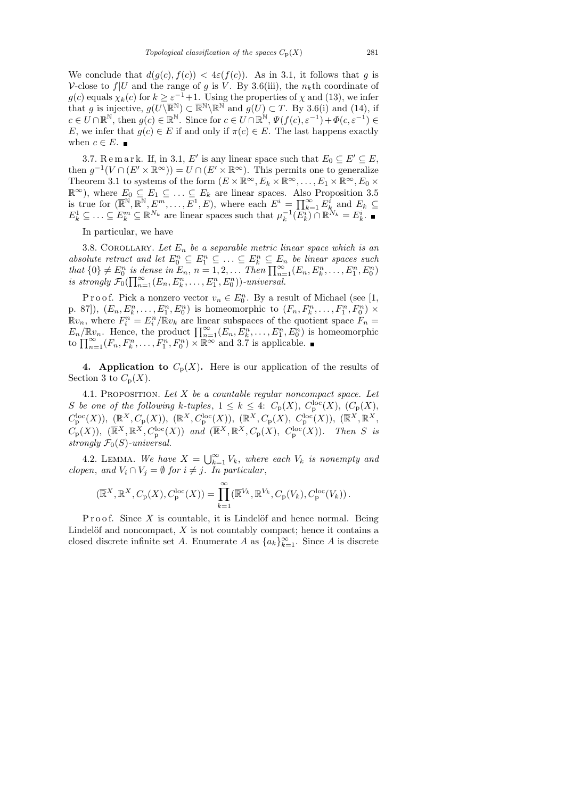We conclude that  $d(g(c), f(c)) < 4\varepsilon(f(c))$ . As in 3.1, it follows that g is V-close to  $f|U$  and the range of g is V. By 3.6(iii), the  $n_k$ <sup>th</sup> coordinate of  $g(c)$  equals  $\chi_k(c)$  for  $k \geq \varepsilon^{-1}+1$ . Using the properties of  $\chi$  and (13), we infer that g is injective,  $g(U\backslash \overline{\mathbb{R}}^{\mathbb{N}}) \subset \overline{\mathbb{R}}^{\mathbb{N}}\backslash \mathbb{R}^{\mathbb{N}}$  and  $g(U) \subset T$ . By 3.6(i) and (14), if  $c \in U \cap \mathbb{R}^{\mathbb{N}},$  then  $g(c) \in \mathbb{R}^{\mathbb{N}}$ . Since for  $c \in U \cap \mathbb{R}^{\mathbb{N}}, \Psi(f(c), \varepsilon^{-1}) + \Phi(c, \varepsilon^{-1}) \in$ E, we infer that  $g(c) \in E$  if and only if  $\pi(c) \in E$ . The last happens exactly when  $c \in E$ .

3.7. Remark. If, in 3.1, E' is any linear space such that  $E_0 \subseteq E' \subseteq E$ , then  $g^{-1}(V \cap (E' \times \mathbb{R}^{\infty})) = U \cap (E' \times \mathbb{R}^{\infty})$ . This permits one to generalize Theorem 3.1 to systems of the form  $(E \times \mathbb{R}^{\infty}, E_k \times \mathbb{R}^{\infty}, \ldots, E_1 \times \mathbb{R}^{\infty}, E_0 \times$  $\mathbb{R}^{\infty}$ ), where  $E_0 \subseteq E_1 \subseteq \ldots \subseteq E_k$  are linear spaces. Also Proposition 3.5 is true for  $(\overline{\mathbb{R}}^{\mathbb{N}}, \mathbb{R}^{\mathbb{N}}, E^m, \ldots, E^1, E)$ , where each  $E^i = \prod_{k=1}^{\infty} E_k^i$  and  $E_k \subseteq$  $E_k^1 \subseteq \ldots \subseteq E_k^m \subseteq \mathbb{R}^{N_k}$  are linear spaces such that  $\mu_k^{-1}(\overline{E_k^i}) \cap \mathbb{R}^{N_k} = E_k^i$ .

In particular, we have

3.8. COROLLARY. Let  $E_n$  be a separable metric linear space which is an absolute retract and let  $E_0^n \subseteq E_1^n \subseteq \ldots \subseteq E_k^n \subseteq E_n$  be linear spaces such that  $\{0\} \neq E_0^n$  is dense in  $E_n$ ,  $n = 1, 2, ...$  Then  $\prod_{n=1}^{\infty} (E_n, E_k^n, ..., E_1^n, E_0^n)$ is strongly  $\mathcal{F}_0(\prod_{n=1}^{\infty} (E_n, E_k^n, \ldots, E_1^n, E_0^n))$ -universal.

P r o o f. Pick a nonzero vector  $v_n \in E_0^n$ . By a result of Michael (see [1, p. 87]),  $(E_n, E_k^n, \ldots, E_1^n, E_0^n)$  is homeomorphic to  $(F_n, F_k^n, \ldots, F_1^n, F_0^n) \times$  $\mathbb{R}v_n$ , where  $F_i^n = E_i^n / \bar{\mathbb{R}}v_k$  are linear subspaces of the quotient space  $F_n =$  $E_n/\mathbb{R}v_n$ . Hence, the product  $\prod_{n=1}^{\infty}(E_n, E_k^n, \ldots, E_1^n, E_0^n)$  is homeomorphic to  $\prod_{n=1}^{\infty} (F_n, F_k^n, \ldots, F_1^n, F_0^n) \times \mathbb{R}^{\infty}$  and 3.7 is applicable.

4. Application to  $C_p(X)$ . Here is our application of the results of Section 3 to  $C_p(X)$ .

4.1. PROPOSITION. Let  $X$  be a countable regular noncompact space. Let S be one of the following k-tuples,  $1 \leq k \leq 4$ :  $C_{\rm p}(X)$ ,  $C_{\rm p}^{\rm loc}(X)$ ,  $(C_{\rm p}(X)$ ,  $C_{\mathbf{p}}^{\mathrm{loc}}(X)$ ),  $(\mathbb{R}^{X}, C_{\mathbf{p}}(X))$ ,  $(\mathbb{R}^{X}, C_{\mathbf{p}}^{\mathrm{loc}}(X))$ ,  $(\mathbb{R}^{X}, C_{\mathbf{p}}(X), C_{\mathbf{p}}^{\mathrm{loc}}(X))$ ,  $(\overline{\mathbb{R}}^{X}, \mathbb{R}^{X},$  $C_{\mathbf{p}}(X)$ ),  $(\overline{\mathbb{R}}^X, \mathbb{R}^X, C_{\mathbf{p}}^{\text{loc}}(X))$  and  $(\overline{\mathbb{R}}^X, \mathbb{R}^X, C_{\mathbf{p}}(X), C_{\mathbf{p}}^{\text{loc}}(X))$ . Then S is strongly  $\mathcal{F}_0(S)$ -universal.

4.2. LEMMA. We have  $X = \bigcup_{k=1}^{\infty} V_k$ , where each  $V_k$  is nonempty and clopen, and  $V_i \cap V_j = \emptyset$  for  $i \neq j$ . In particular,

$$
(\overline{\mathbb{R}}^X, \mathbb{R}^X, C_p(X), C_p^{\text{loc}}(X)) = \prod_{k=1}^{\infty} (\overline{\mathbb{R}}^{V_k}, \mathbb{R}^{V_k}, C_p(V_k), C_p^{\text{loc}}(V_k)).
$$

P r o o f. Since  $X$  is countable, it is Lindelöf and hence normal. Being Lindelöf and noncompact,  $X$  is not countably compact; hence it contains a closed discrete infinite set A. Enumerate A as  ${a_k}_{k=1}^{\infty}$ . Since A is discrete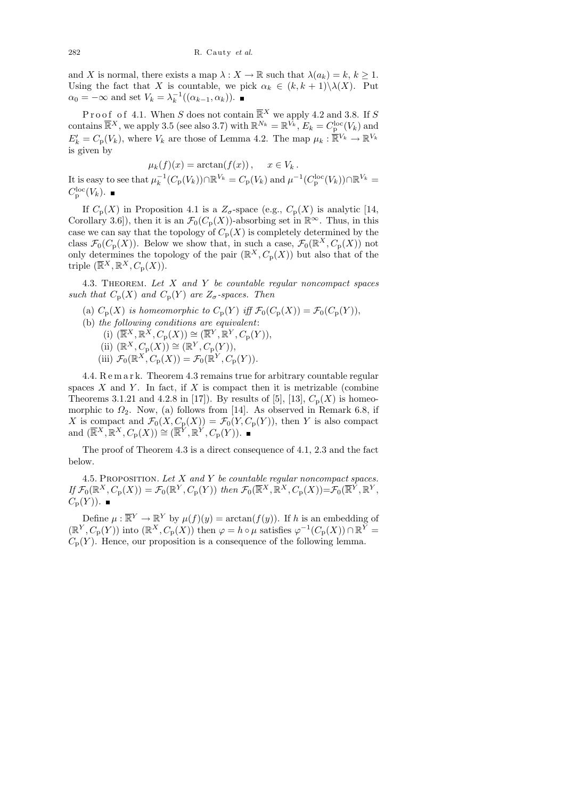and X is normal, there exists a map  $\lambda : X \to \mathbb{R}$  such that  $\lambda(a_k) = k, k \geq 1$ . Using the fact that X is countable, we pick  $\alpha_k \in (k, k+1) \setminus \lambda(X)$ . Put  $\alpha_0 = -\infty$  and set  $V_k = \lambda_k^{-1}((\alpha_{k-1}, \alpha_k)).$ 

Proof of 4.1. When S does not contain  $\overline{\mathbb{R}}^{X}$  we apply 4.2 and 3.8. If S contains  $\overline{\mathbb{R}}^X$ , we apply 3.5 (see also 3.7) with  $\mathbb{R}^{N_k} = \mathbb{R}^{\overline{V_k}}$ ,  $E_k = C_p^{\text{loc}}(V_k)$  and  $E'_k = C_p(V_k)$ , where  $V_k$  are those of Lemma 4.2. The map  $\mu_k : \overline{\mathbb{R}}^{V_k} \to \mathbb{R}^{V_k}$ is given by

$$
\mu_k(f)(x) = \arctan(f(x)), \quad x \in V_k.
$$
  
It is easy to see that  $\mu_k^{-1}(C_p(V_k)) \cap \mathbb{R}^{V_k} = C_p(V_k)$  and  $\mu^{-1}(C_p^{\text{loc}}(V_k)) \cap \mathbb{R}^{V_k} =$ 

 $C_{\rm p}^{\rm loc}(V_k).$ 

If  $C_p(X)$  in Proposition 4.1 is a  $Z_\sigma$ -space (e.g.,  $C_p(X)$  is analytic [14, Corollary 3.6]), then it is an  $\mathcal{F}_0(C_p(X))$ -absorbing set in  $\mathbb{R}^\infty$ . Thus, in this case we can say that the topology of  $C_p(X)$  is completely determined by the class  $\mathcal{F}_0(C_p(X))$ . Below we show that, in such a case,  $\mathcal{F}_0(\mathbb{R}^X, C_p(X))$  not only determines the topology of the pair  $(\mathbb{R}^X, C_p(X))$  but also that of the triple  $(\overline{\mathbb{R}}^X, \mathbb{R}^X, C_p(X))$ .

4.3. THEOREM. Let  $X$  and  $Y$  be countable regular noncompact spaces such that  $C_p(X)$  and  $C_p(Y)$  are  $Z_\sigma$ -spaces. Then

- (a)  $C_p(X)$  is homeomorphic to  $C_p(Y)$  iff  $\mathcal{F}_0(C_p(X)) = \mathcal{F}_0(C_p(Y)),$
- (b) the following conditions are equivalent:
	- (i)  $(\overline{\mathbb{R}}^X, \mathbb{R}^X, C_p(X)) \cong (\overline{\mathbb{R}}^Y, \mathbb{R}^Y, C_p(Y)),$
	- (ii)  $(\mathbb{R}^X, C_p(X)) \cong (\mathbb{R}^Y, C_p(Y)),$
	- (iii)  $\mathcal{F}_0(\mathbb{R}^X, C_\mathbb{P}(X)) = \mathcal{F}_0(\mathbb{R}^Y, C_\mathbb{P}(Y)).$

4.4. R e m a r k. Theorem 4.3 remains true for arbitrary countable regular spaces  $X$  and  $Y$ . In fact, if  $X$  is compact then it is metrizable (combine Theorems 3.1.21 and 4.2.8 in [17]). By results of [5], [13],  $C_p(X)$  is homeomorphic to  $\Omega_2$ . Now, (a) follows from [14]. As observed in Remark 6.8, if X is compact and  $\mathcal{F}_0(X, C_p(X)) = \mathcal{F}_0(Y, C_p(Y))$ , then Y is also compact and  $(\overline{\mathbb{R}}^X, \overline{\mathbb{R}}^X, C_p(X)) \cong (\overline{\mathbb{R}}^Y, \overline{\mathbb{R}}^Y, C_p(Y)).$ 

The proof of Theorem 4.3 is a direct consequence of 4.1, 2.3 and the fact below.

4.5. PROPOSITION. Let  $X$  and  $Y$  be countable regular noncompact spaces.  $If \mathcal{F}_0(\mathbb{R}^X, C_\mathbf{p}(X)) = \mathcal{F}_0(\mathbb{R}^Y, C_\mathbf{p}(Y))$  then  $\mathcal{F}_0(\overline{\mathbb{R}}^X, \overline{\mathbb{R}}^X, C_\mathbf{p}(X)) = \mathcal{F}_0(\overline{\mathbb{R}}^Y, \mathbb{R}^Y,$  $C_{\rm p}(Y)$ ).

Define  $\mu : \overline{\mathbb{R}^Y} \to \mathbb{R}^Y$  by  $\mu(f)(y) = \arctan(f(y))$ . If h is an embedding of  $(\mathbb{R}^Y, C_p(Y))$  into  $(\mathbb{R}^X, C_p(X))$  then  $\varphi = h \circ \mu$  satisfies  $\varphi^{-1}(C_p(X)) \cap \mathbb{R}^Y =$  $C_p(Y)$ . Hence, our proposition is a consequence of the following lemma.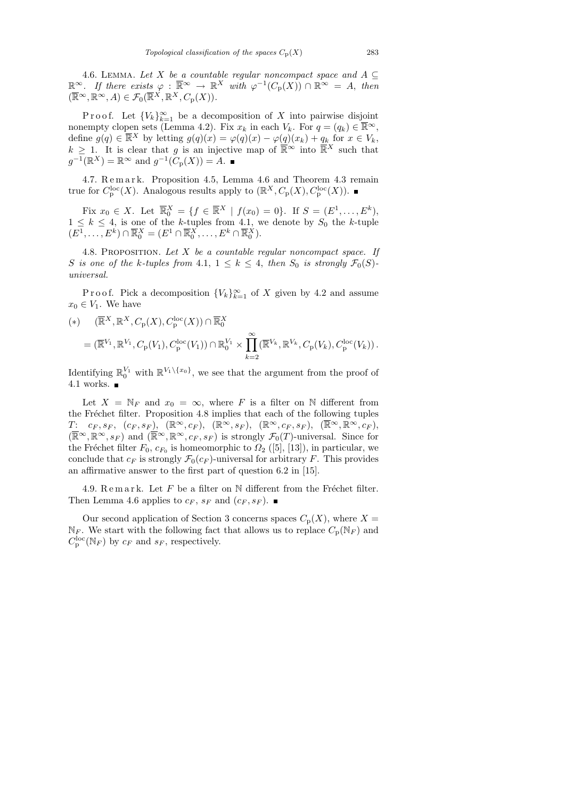4.6. LEMMA. Let X be a countable regular noncompact space and  $A \subseteq$  $\mathbb{R}^{\infty}$ . If there exists  $\varphi : \overline{\mathbb{R}}^{\infty} \to \mathbb{R}^{X}$  with  $\varphi^{-1}(C_{p}(X)) \cap \mathbb{R}^{\infty} = A$ , then  $(\overline{\mathbb{R}}^{\infty}, \mathbb{R}^{\infty}, A) \in \mathcal{F}_0(\overline{\mathbb{R}}^X, \mathbb{R}^X, C_{\mathbf{p}}(X)).$ 

Proof. Let  ${V_k}_{k=1}^{\infty}$  be a decomposition of X into pairwise disjoint nonempty clopen sets (Lemma 4.2). Fix  $x_k$  in each  $V_k$ . For  $q = (q_k) \in \overline{\mathbb{R}}^{\infty}$ , define  $g(q) \in \overline{\mathbb{R}}^{X}$  by letting  $g(q)(x) = \varphi(q)(x) - \varphi(q)(x_k) + q_k$  for  $x \in V_k$ ,  $k \geq 1$ . It is clear that g is an injective map of  $\overline{\mathbb{R}}^{\infty}$  into  $\overline{\mathbb{R}}^{X}$  such that  $g^{-1}(\mathbb{R}^X) = \mathbb{R}^\infty$  and  $g^{-1}(C_p(X)) = A$ .

4.7. Remark. Proposition 4.5, Lemma 4.6 and Theorem 4.3 remain true for  $C_{\mathbf{p}}^{\mathrm{loc}}(X)$ . Analogous results apply to  $(\mathbb{R}^X, C_{\mathbf{p}}(X), C_{\mathbf{p}}^{\mathrm{loc}}(X))$ .

Fix  $x_0 \in X$ . Let  $\overline{\mathbb{R}}_0^X = \{ f \in \overline{\mathbb{R}}^X \mid f(x_0) = 0 \}$ . If  $S = (E^1, \dots, E^k)$ ,  $1 \leq k \leq 4$ , is one of the k-tuples from 4.1, we denote by  $S_0$  the k-tuple  $(E^1, \ldots, E^k) \cap \overline{\mathbb{R}}_0^X = (E^1 \cap \overline{\mathbb{R}}_0^X, \ldots, E^k \cap \overline{\mathbb{R}}_0^X).$ 

4.8. PROPOSITION. Let  $X$  be a countable regular noncompact space. If S is one of the k-tuples from 4.1,  $1 \leq k \leq 4$ , then  $S_0$  is strongly  $\mathcal{F}_0(S)$ universal.

P r o o f. Pick a decomposition  ${V_k}_{k=1}^{\infty}$  of X given by 4.2 and assume  $x_0 \in V_1$ . We have

$$
(*) \qquad (\overline{\mathbb{R}}^X, \mathbb{R}^X, C_p(X), C_p^{\text{loc}}(X)) \cap \overline{\mathbb{R}}_0^X
$$
  

$$
= (\overline{\mathbb{R}}^{V_1}, \mathbb{R}^{V_1}, C_p(V_1), C_p^{\text{loc}}(V_1)) \cap \mathbb{R}_0^{V_1} \times \prod_{k=2}^{\infty} (\overline{\mathbb{R}}^{V_k}, \mathbb{R}^{V_k}, C_p(V_k), C_p^{\text{loc}}(V_k)).
$$

Identifying  $\mathbb{R}_0^{V_1}$  with  $\mathbb{R}^{V_1\setminus\{x_0\}}$ , we see that the argument from the proof of 4.1 works.  $\blacksquare$ 

Let  $X = \mathbb{N}_F$  and  $x_0 = \infty$ , where F is a filter on N different from the Fréchet filter. Proposition 4.8 implies that each of the following tuples  $T\!\!:\quad c_F, s_F, \;\; (c_F, s_F), \;\; (\mathbb{R}^\infty, c_F), \;\; (\mathbb{R}^\infty, s_F), \;\; (\mathbb{R}^\infty, c_F, s_F), \;\; (\overline{\mathbb{R}}^\infty, \overline{\mathbb{R}}^\infty, \overline{c}_F),$  $(\overline{\mathbb{R}}\infty,\mathbb{R}^\infty,s_F)$  and  $(\overline{\mathbb{R}}\infty,\mathbb{R}^\infty,c_F,s_F)$  is strongly  $\mathcal{F}_0(T)$ -universal. Since for the Fréchet filter  $F_0, c_{F_0}$  is homeomorphic to  $\Omega_2$  ([5], [13]), in particular, we conclude that  $c_F$  is strongly  $\mathcal{F}_0(c_F)$ -universal for arbitrary F. This provides an affirmative answer to the first part of question 6.2 in [15].

4.9. Remark. Let F be a filter on  $\mathbb N$  different from the Fréchet filter. Then Lemma 4.6 applies to  $c_F$ ,  $s_F$  and  $(c_F, s_F)$ .

Our second application of Section 3 concerns spaces  $C_p(X)$ , where  $X =$  $\mathbb{N}_F$ . We start with the following fact that allows us to replace  $C_p(\mathbb{N}_F)$  and  $C_{\rm p}^{\rm loc}({\mathbb N}_F)$  by  $c_F$  and  $s_F$ , respectively.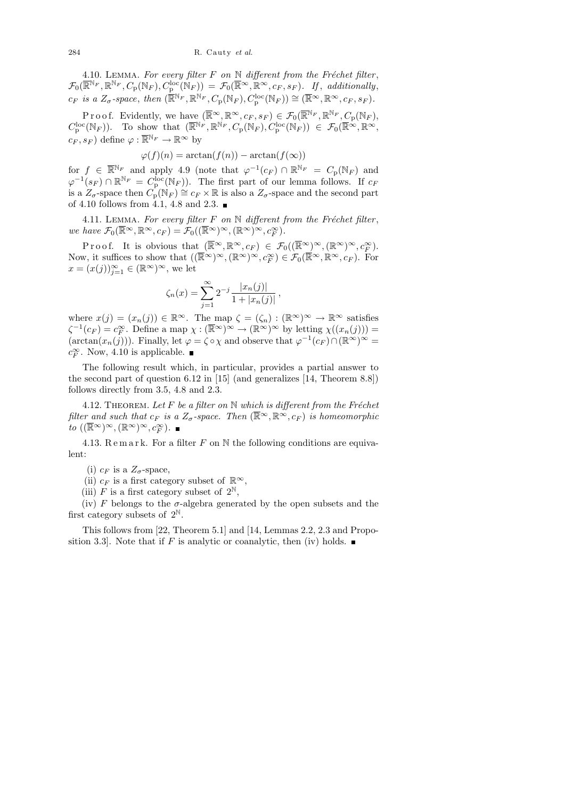4.10. LEMMA. For every filter  $F$  on  $\mathbb N$  different from the Fréchet filter,  $\mathcal{F}_0(\overline{\mathbb{R}}^{\mathbb{N}_F}, \mathbb{R}^{\mathbb{N}_F}, C_p(\mathbb{N}_F), C_p^{\text{loc}}(\mathbb{N}_F)) = \mathcal{F}_0(\overline{\mathbb{R}}^{\infty}, \mathbb{R}^{\infty}, c_F, s_F)$ . If, additionally,  $c_F$  is a  $Z_\sigma$ -space, then  $(\mathbb{\overline{R}}^{\mathbb{N}_F}, \mathbb{R}^{\mathbb{N}_F}, C_p(\mathbb{N}_F), C_p^{\text{loc}}(\mathbb{N}_F)) \cong (\mathbb{\overline{R}}^{\infty}, \mathbb{R}^{\infty}, c_F, s_F)$ .

P r o o f. Evidently, we have  $(\overline{\mathbb{R}}^{\infty}, \mathbb{R}^{\infty}, c_F, s_F) \in \mathcal{F}_0(\overline{\mathbb{R}}^{\mathbb{N}_F}, \mathbb{R}^{\mathbb{N}_F}, C_{\mathbb{P}}(\mathbb{N}_F),$  $C_{\mathbf{p}}^{\mathrm{loc}}(\mathbb{N}_F)$ ). To show that  $(\overline{\mathbb{R}}^{\mathbb{N}_F}, \mathbb{R}^{\mathbb{N}_F}, C_{\mathbf{p}}(\mathbb{N}_F), C_{\mathbf{p}}^{\mathrm{loc}}(\mathbb{N}_F)) \in \mathcal{F}_0(\overline{\mathbb{R}}^{\infty}, \mathbb{R}^{\infty},$  $c_F, s_F$ ) define  $\varphi : \overline{\mathbb{R}}^{\mathbb{N}_F} \to \mathbb{R}^{\infty}$  by

$$
\varphi(f)(n) = \arctan(f(n)) - \arctan(f(\infty))
$$

for  $f \in \overline{\mathbb{R}}^{\mathbb{N}_F}$  and apply 4.9 (note that  $\varphi^{-1}(c_F) \cap \mathbb{R}^{\mathbb{N}_F} = C_{\mathbf{p}}(\mathbb{N}_F)$  and  $\varphi^{-1}(s_F) \cap \mathbb{R}^{\mathbb{N}_F} = C_{\mathbf{p}}^{\mathbf{loc}}(\mathbb{N}_F)$ . The first part of our lemma follows. If  $c_F$ is a  $Z_{\sigma}$ -space then  $C_{\mathbf{p}}(\mathbb{N}_F) \cong c_F \times \mathbb{R}$  is also a  $Z_{\sigma}$ -space and the second part of 4.10 follows from 4.1, 4.8 and 2.3.  $\blacksquare$ 

4.11. LEMMA. For every filter  $F$  on  $\mathbb N$  different from the Fréchet filter, we have  $\mathcal{F}_0(\overline{\mathbb{R}}^\infty,\mathbb{R}^\infty,c_F) = \mathcal{F}_0((\overline{\mathbb{R}}^\infty)^\infty,(\mathbb{R}^\infty)^\infty,c_F^\infty).$ 

Proof. It is obvious that  $(\overline{\mathbb{R}}^{\infty}, \mathbb{R}^{\infty}, c_F) \in \mathcal{F}_0((\overline{\mathbb{R}}^{\infty})^{\infty}, (\mathbb{R}^{\infty})^{\infty}, c_F^{\infty}).$ Now, it suffices to show that  $((\overline{\mathbb{R}}^{\infty})^{\infty}, (\mathbb{R}^{\infty})^{\infty}, c_F^{\infty}) \in \mathcal{F}_0(\overline{\mathbb{R}}^{\infty}, \mathbb{R}^{\infty}, c_F)$ . For  $x = (x(j))_{j=1}^{\infty} \in (\mathbb{R}^{\infty})^{\infty}$ , we let

$$
\zeta_n(x) = \sum_{j=1}^{\infty} 2^{-j} \frac{|x_n(j)|}{1 + |x_n(j)|},
$$

where  $x(j) = (x_n(j)) \in \mathbb{R}^{\infty}$ . The map  $\zeta = (\zeta_n) : (\mathbb{R}^{\infty})^{\infty} \to \mathbb{R}^{\infty}$  satisfies  $\zeta^{-1}(c_F) = c_F^{\infty}$ . Define a map  $\chi : (\overline{\mathbb{R}}^{\infty})^{\infty} \to (\mathbb{R}^{\infty})^{\infty}$  by letting  $\chi((x_n(j))) =$  $(\arctan(x_n(j)))$ . Finally, let  $\varphi = \zeta \circ \chi$  and observe that  $\varphi^{-1}(c_F) \cap (\mathbb{R}^{\infty})^{\infty} =$  $c_F^{\infty}$ . Now, 4.10 is applicable.

The following result which, in particular, provides a partial answer to the second part of question 6.12 in [15] (and generalizes [14, Theorem 8.8]) follows directly from 3.5, 4.8 and 2.3.

4.12. THEOREM. Let F be a filter on  $\mathbb N$  which is different from the Fréchet filter and such that  $c_F$  is a  $Z_\sigma$ -space. Then  $(\overline{\mathbb{R}}^\infty, \mathbb{R}^\infty, c_F)$  is homeomorphic to  $((\overline{\mathbb{R}}^{\infty})^{\infty}, (\mathbb{R}^{\infty})^{\infty}, c_F^{\infty}).$ 

4.13. Remark. For a filter F on  $\mathbb N$  the following conditions are equivalent:

(i)  $c_F$  is a  $Z_\sigma$ -space,

(ii)  $c_F$  is a first category subset of  $\mathbb{R}^{\infty}$ ,

(iii) F is a first category subset of  $2^{\mathbb{N}}$ ,

(iv) F belongs to the  $\sigma$ -algebra generated by the open subsets and the first category subsets of  $2^{\mathbb{N}}$ .

This follows from [22, Theorem 5.1] and [14, Lemmas 2.2, 2.3 and Proposition 3.3. Note that if F is analytic or coanalytic, then (iv) holds.  $\blacksquare$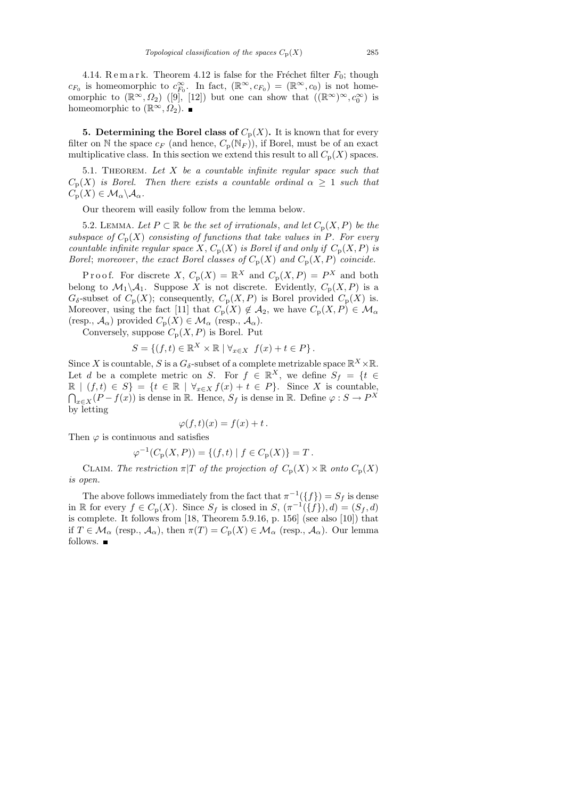4.14. R e m a r k. Theorem 4.12 is false for the Fréchet filter  $F_0$ ; though  $c_{F_0}$  is homeomorphic to  $c_{F_0}^{\infty}$ . In fact,  $(\mathbb{R}^{\infty}, c_{F_0}) = (\mathbb{R}^{\infty}, c_0)$  is not homeomorphic to  $(\mathbb{R}^{\infty}, \Omega_2)$  ([9], [12]) but one can show that  $((\mathbb{R}^{\infty})^{\infty}, c_0^{\infty})$  is homeomorphic to  $(\mathbb{R}^{\infty}, \Omega_2)$ .

**5. Determining the Borel class of**  $C_p(X)$ . It is known that for every filter on N the space  $c_F$  (and hence,  $C_p(N_F)$ ), if Borel, must be of an exact multiplicative class. In this section we extend this result to all  $C_p(X)$  spaces.

5.1. THEOREM. Let  $X$  be a countable infinite regular space such that  $C_p(X)$  is Borel. Then there exists a countable ordinal  $\alpha \geq 1$  such that  $C_{\mathbf{p}}(X) \in \mathcal{M}_\alpha \backslash \mathcal{A}_\alpha$ .

Our theorem will easily follow from the lemma below.

5.2. LEMMA. Let  $P \subset \mathbb{R}$  be the set of irrationals, and let  $C_p(X, P)$  be the subspace of  $C_p(X)$  consisting of functions that take values in P. For every countable infinite regular space X,  $C_p(X)$  is Borel if and only if  $C_p(X, P)$  is Borel; moreover, the exact Borel classes of  $C_p(X)$  and  $C_p(X, P)$  coincide.

Proof. For discrete X,  $C_p(X) = \mathbb{R}^X$  and  $C_p(X, P) = P^X$  and both belong to  $\mathcal{M}_1 \backslash \mathcal{A}_1$ . Suppose X is not discrete. Evidently,  $C_p(X, P)$  is a  $G_{\delta}$ -subset of  $C_{\mathbf{p}}(X)$ ; consequently,  $C_{\mathbf{p}}(X, P)$  is Borel provided  $C_{\mathbf{p}}(X)$  is. Moreover, using the fact [11] that  $C_p(X) \notin A_2$ , we have  $C_p(X, P) \in \mathcal{M}_\alpha$ (resp.,  $\mathcal{A}_{\alpha}$ ) provided  $C_{p}(X) \in \mathcal{M}_{\alpha}$  (resp.,  $\mathcal{A}_{\alpha}$ ).

Conversely, suppose  $C_p(X, P)$  is Borel. Put

$$
S = \{(f, t) \in \mathbb{R}^X \times \mathbb{R} \mid \forall_{x \in X} f(x) + t \in P\}.
$$

Since X is countable, S is a  $G_{\delta}$ -subset of a complete metrizable space  $\mathbb{R}^X\times\mathbb{R}.$ Let d be a complete metric on S. For  $f \in \mathbb{R}^X$ , we define  $S_f = \{t \in$  $\mathbb{R} \mid (f, t) \in S$  = { $t \in \mathbb{R} \mid \forall_{x \in X} f(x) + t \in P$ }. Since X is countable,  $\bigcap_{x\in X}(P-f(x))$  is dense in R. Hence,  $S_f$  is dense in R. Define  $\varphi: S \to P^X$ by letting

$$
\varphi(f,t)(x) = f(x) + t.
$$

Then  $\varphi$  is continuous and satisfies

$$
\varphi^{-1}(C_{\mathbf{p}}(X,P)) = \{ (f,t) \mid f \in C_{\mathbf{p}}(X) \} = T.
$$

CLAIM. The restriction  $\pi|T$  of the projection of  $C_p(X) \times \mathbb{R}$  onto  $C_p(X)$ is open.

The above follows immediately from the fact that  $\pi^{-1}(\lbrace f \rbrace) = S_f$  is dense in R for every  $f \in C_p(X)$ . Since  $S_f$  is closed in  $S, (\pi^{-1}(\{f\}), d) = (S_f, d)$ is complete. It follows from [18, Theorem 5.9.16, p. 156] (see also [10]) that if  $T \in \mathcal{M}_{\alpha}$  (resp.,  $\mathcal{A}_{\alpha}$ ), then  $\pi(T) = C_{p}(X) \in \mathcal{M}_{\alpha}$  (resp.,  $\mathcal{A}_{\alpha}$ ). Our lemma follows.  $\blacksquare$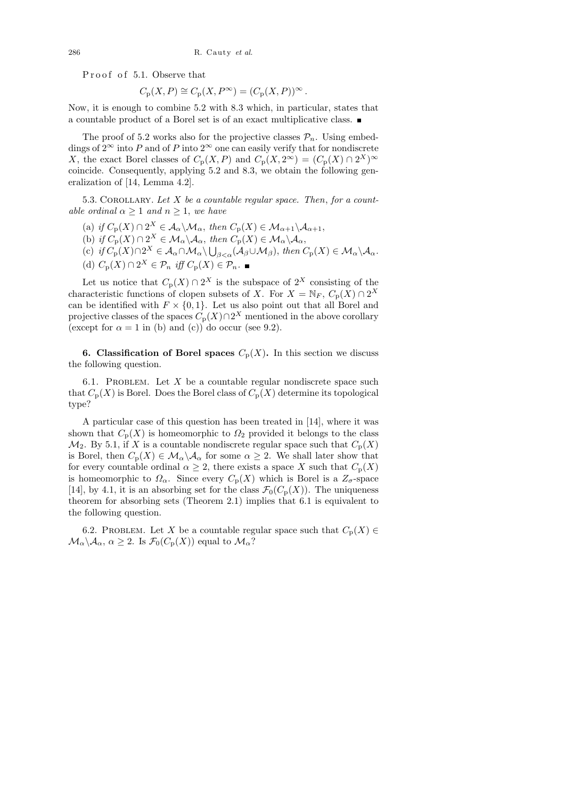Proof of 5.1. Observe that

$$
C_{\mathbf{p}}(X,P) \cong C_{\mathbf{p}}(X,P^{\infty}) = (C_{\mathbf{p}}(X,P))^{\infty}.
$$

Now, it is enough to combine 5.2 with 8.3 which, in particular, states that a countable product of a Borel set is of an exact multiplicative class.

The proof of 5.2 works also for the projective classes  $\mathcal{P}_n$ . Using embeddings of  $2^{\infty}$  into P and of P into  $2^{\infty}$  one can easily verify that for nondiscrete X, the exact Borel classes of  $C_p(X, P)$  and  $C_p(X, 2^{\infty}) = (C_p(X) \cap 2^X)^{\infty}$ coincide. Consequently, applying 5.2 and 8.3, we obtain the following generalization of [14, Lemma 4.2].

5.3. COROLLARY. Let  $X$  be a countable regular space. Then, for a countable ordinal  $\alpha \geq 1$  and  $n \geq 1$ , we have

- (a) if  $C_p(X) \cap 2^X \in \mathcal{A}_\alpha \backslash \mathcal{M}_\alpha$ , then  $C_p(X) \in \mathcal{M}_{\alpha+1} \backslash \mathcal{A}_{\alpha+1}$ ,
- (b) if  $C_{\mathbf{p}}(X) \cap 2^X \in \mathcal{M}_\alpha \backslash \mathcal{A}_\alpha$ , then  $C_{\mathbf{p}}(X) \in \mathcal{M}_\alpha \backslash \mathcal{A}_\alpha$ ,
- (c) if  $C_p(X) \cap 2^X \in A_\alpha \cap M_\alpha \setminus \bigcup_{\beta < \alpha} (A_\beta \cup M_\beta)$ , then  $C_p(X) \in M_\alpha \setminus A_\alpha$ .
- (d)  $C_{\mathbf{p}}(X) \cap 2^X \in \mathcal{P}_n$  iff  $C_{\mathbf{p}}(X) \in \mathcal{P}_n$ .

Let us notice that  $C_{\rm p}(X) \cap 2^X$  is the subspace of  $2^X$  consisting of the characteristic functions of clopen subsets of X. For  $X = \mathbb{N}_F$ ,  $C_{\text{p}}(X) \cap 2^X$ can be identified with  $F \times \{0,1\}$ . Let us also point out that all Borel and projective classes of the spaces  $C_{p}(X) \cap 2^{X}$  mentioned in the above corollary (except for  $\alpha = 1$  in (b) and (c)) do occur (see 9.2).

6. Classification of Borel spaces  $C_p(X)$ . In this section we discuss the following question.

6.1. PROBLEM. Let  $X$  be a countable regular nondiscrete space such that  $C_p(X)$  is Borel. Does the Borel class of  $C_p(X)$  determine its topological type?

A particular case of this question has been treated in [14], where it was shown that  $C_p(X)$  is homeomorphic to  $\Omega_2$  provided it belongs to the class  $\mathcal{M}_2$ . By 5.1, if X is a countable nondiscrete regular space such that  $C_p(X)$ is Borel, then  $C_p(X) \in \mathcal{M}_\alpha \backslash \mathcal{A}_\alpha$  for some  $\alpha \geq 2$ . We shall later show that for every countable ordinal  $\alpha \geq 2$ , there exists a space X such that  $C_p(X)$ is homeomorphic to  $\Omega_{\alpha}$ . Since every  $C_{p}(X)$  which is Borel is a  $Z_{\sigma}$ -space [14], by 4.1, it is an absorbing set for the class  $\mathcal{F}_0(C_p(X))$ . The uniqueness theorem for absorbing sets (Theorem 2.1) implies that 6.1 is equivalent to the following question.

6.2. PROBLEM. Let X be a countable regular space such that  $C_{p}(X) \in$  $\mathcal{M}_\alpha \backslash \mathcal{A}_\alpha$ ,  $\alpha \geq 2$ . Is  $\mathcal{F}_0(C_p(X))$  equal to  $\mathcal{M}_\alpha$ ?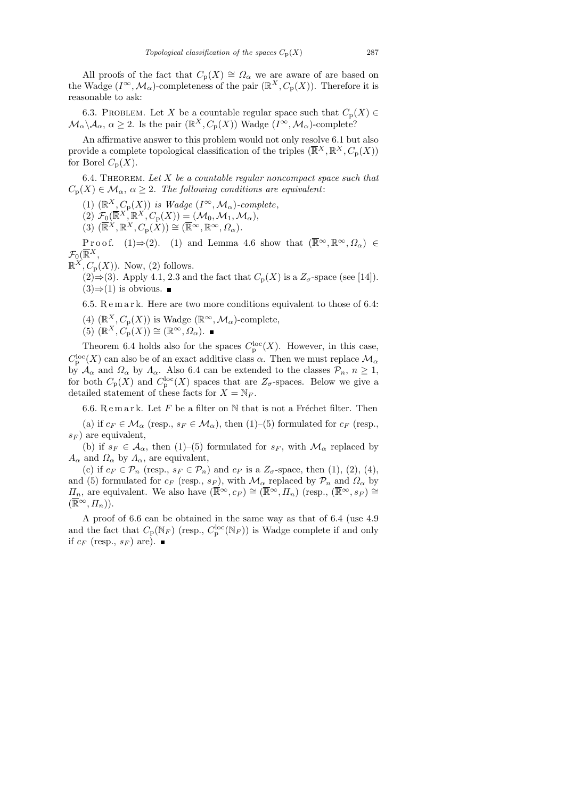All proofs of the fact that  $C_p(X) \cong \Omega_\alpha$  we are aware of are based on the Wadge  $(I^{\infty}, \mathcal{M}_{\alpha})$ -completeness of the pair  $(\mathbb{R}^{X}, C_{p}(X))$ . Therefore it is reasonable to ask:

6.3. PROBLEM. Let X be a countable regular space such that  $C_p(X) \in$  $\mathcal{M}_\alpha\backslash\mathcal{A}_\alpha, \ \alpha\geq 2$ . Is the pair  $(\mathbb{R}^X,C_\mathbf{p}(X))$  Wadge  $(I^\infty,\mathcal{M}_\alpha)$ -complete?

An affirmative answer to this problem would not only resolve 6.1 but also provide a complete topological classification of the triples  $(\overline{\mathbb{R}}^X, \mathbb{R}^X, C_p(X))$ for Borel  $C_{\text{p}}(X)$ .

6.4. THEOREM. Let  $X$  be a countable regular noncompact space such that  $C_p(X) \in \mathcal{M}_{\alpha}, \ \alpha \geq 2$ . The following conditions are equivalent:

(1)  $(\mathbb{R}^X, C_p(X))$  is Wadge  $(I^{\infty}, \mathcal{M}_{\alpha})$ -complete,

 $(2)$   $\mathcal{F}_0(\overline{\mathbb{R}}^X, \overline{\mathbb{R}}^X, C_{\mathbf{p}}(X)) = (\mathcal{M}_0, \mathcal{M}_1, \mathcal{M}_\alpha),$ 

 $(3)$   $(\overline{\mathbb{R}}^X, \mathbb{R}^X, C_{\mathbf{p}}(X)) \cong (\overline{\mathbb{R}}^{\infty}, \mathbb{R}^{\infty}, \Omega_{\alpha}).$ 

P r o o f. (1)  $\Rightarrow$  (2). (1) and Lemma 4.6 show that  $(\overline{\mathbb{R}}^{\infty}, \mathbb{R}^{\infty}, \Omega_{\alpha}) \in$  $\mathcal{F}_0(\overline{\mathbb{R}}^X,$ 

 $\mathbb{R}^X$ ,  $C_p(X)$ ). Now, (2) follows.

 $(2) \Rightarrow (3)$ . Apply 4.1, 2.3 and the fact that  $C_p(X)$  is a  $Z_\sigma$ -space (see [14]).  $(3) \Rightarrow (1)$  is obvious. ■

6.5. R e m a r k. Here are two more conditions equivalent to those of 6.4:

(4)  $(\mathbb{R}^X, C_p(X))$  is Wadge  $(\mathbb{R}^\infty, \mathcal{M}_\alpha)$ -complete,

 $(5)$   $(\mathbb{R}^X, C_p(X)) \cong (\mathbb{R}^\infty, \Omega_\alpha).$ 

Theorem 6.4 holds also for the spaces  $C_{\mathbf{p}}^{\mathbf{loc}}(X)$ . However, in this case,  $C_{\rm p}^{\rm loc}(X)$  can also be of an exact additive class  $\alpha$ . Then we must replace  $\mathcal{M}_{\alpha}$ by  $\mathcal{A}_{\alpha}$  and  $\Omega_{\alpha}$  by  $\Lambda_{\alpha}$ . Also 6.4 can be extended to the classes  $\mathcal{P}_n$ ,  $n \geq 1$ , for both  $C_{\rm p}(X)$  and  $C_{\rm p}^{\rm loc}(X)$  spaces that are  $Z_{\sigma}$ -spaces. Below we give a detailed statement of these facts for  $X = \mathbb{N}_F$ .

6.6. Remark. Let  $F$  be a filter on  $\mathbb N$  that is not a Fréchet filter. Then

(a) if  $c_F \in \mathcal{M}_\alpha$  (resp.,  $s_F \in \mathcal{M}_\alpha$ ), then (1)–(5) formulated for  $c_F$  (resp.,  $s_F$ ) are equivalent,

(b) if  $s_F \in \mathcal{A}_{\alpha}$ , then (1)–(5) formulated for  $s_F$ , with  $\mathcal{M}_{\alpha}$  replaced by  $A_{\alpha}$  and  $\Omega_{\alpha}$  by  $A_{\alpha}$ , are equivalent,

(c) if  $c_F \in \mathcal{P}_n$  (resp.,  $s_F \in \mathcal{P}_n$ ) and  $c_F$  is a  $Z_\sigma$ -space, then (1), (2), (4), and (5) formulated for  $c_F$  (resp.,  $s_F$ ), with  $\mathcal{M}_{\alpha}$  replaced by  $\mathcal{P}_n$  and  $\Omega_{\alpha}$  by  $\Pi_n$ , are equivalent. We also have  $(\overline{\mathbb{R}}^{\infty}, c_F) \cong (\overline{\mathbb{R}}^{\infty}, \Pi_n)$  (resp.,  $(\overline{\mathbb{R}}^{\infty}, s_F) \cong$  $(\overline{\mathbb{R}}^{\infty}, \Pi_n)).$ 

A proof of 6.6 can be obtained in the same way as that of 6.4 (use 4.9 and the fact that  $C_p(\mathbb{N}_F)$  (resp.,  $C_p^{\text{loc}}(\mathbb{N}_F)$ ) is Wadge complete if and only if  $c_F$  (resp.,  $s_F$ ) are).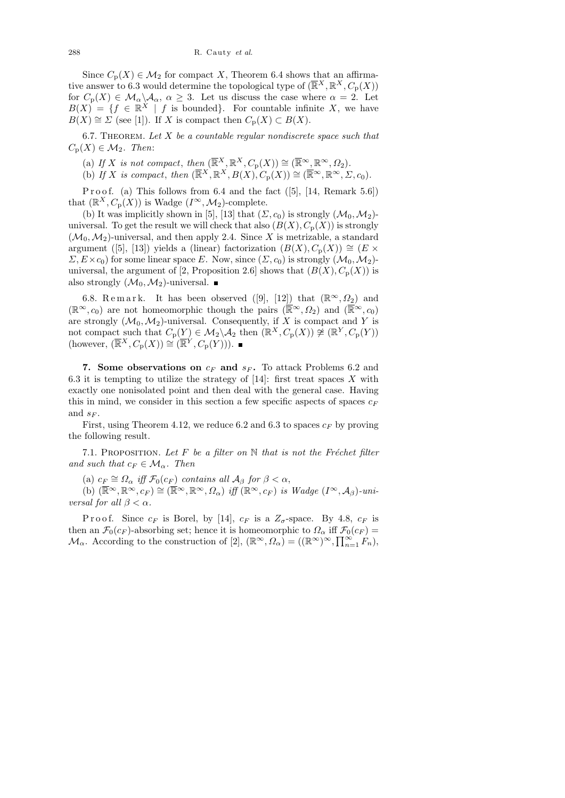Since  $C_p(X) \in \mathcal{M}_2$  for compact X, Theorem 6.4 shows that an affirmative answer to 6.3 would determine the topological type of  $(\overline{\mathbb{R}}^X, \mathbb{R}^X, C_p(X))$ for  $C_p(X) \in \mathcal{M}_\alpha \backslash \mathcal{A}_\alpha$ ,  $\alpha \geq 3$ . Let us discuss the case where  $\alpha = 2$ . Let  $B(X) = \{f \in \mathbb{R}^X \mid f \text{ is bounded}\}.$  For countable infinite X, we have  $B(X) \cong \Sigma$  (see [1]). If X is compact then  $C_{p}(X) \subset B(X)$ .

6.7. THEOREM. Let  $X$  be a countable regular nondiscrete space such that  $C_{\text{p}}(X) \in \mathcal{M}_2$ . Then:

(a) If X is not compact, then  $(\overline{\mathbb{R}}^X, \mathbb{R}^X, C_p(X)) \cong (\overline{\mathbb{R}}^\infty, \mathbb{R}^\infty, \Omega_2)$ .

(b) If X is compact, then  $(\overline{\mathbb{R}}^X, \mathbb{R}^X, B(X), C_p(X)) \cong (\overline{\mathbb{R}}^\infty, \mathbb{R}^\infty, \Sigma, c_0)$ .

P r o o f. (a) This follows from  $6.4$  and the fact  $([5], [14,$  Remark  $5.6]$ that  $(\mathbb{R}^X, C_p(X))$  is Wadge  $(I^{\infty}, \mathcal{M}_2)$ -complete.

(b) It was implicitly shown in [5], [13] that  $(\Sigma, c_0)$  is strongly  $(\mathcal{M}_0, \mathcal{M}_2)$ universal. To get the result we will check that also  $(B(X), C_p(X))$  is strongly  $(\mathcal{M}_0, \mathcal{M}_2)$ -universal, and then apply 2.4. Since X is metrizable, a standard argument ([5], [13]) yields a (linear) factorization  $(B(X), C_p(X)) \cong (E \times$  $\Sigma, E \times c_0$  for some linear space E. Now, since  $(\Sigma, c_0)$  is strongly  $(\mathcal{M}_0, \mathcal{M}_2)$ universal, the argument of [2, Proposition 2.6] shows that  $(B(X), C_p(X))$  is also strongly  $(\mathcal{M}_0, \mathcal{M}_2)$ -universal.

6.8. Remark. It has been observed ([9], [12]) that  $(\mathbb{R}^{\infty}, \Omega_2)$  and  $(\mathbb{R}^{\infty}, c_0)$  are not homeomorphic though the pairs  $(\overline{\mathbb{R}}^{\infty}, \Omega_2)$  and  $(\overline{\mathbb{R}}^{\infty}, c_0)$ are strongly  $(\mathcal{M}_0, \mathcal{M}_2)$ -universal. Consequently, if X is compact and Y is not compact such that  $C_p(Y) \in \mathcal{M}_2 \setminus \mathcal{A}_2$  then  $(\mathbb{R}^X, C_p(X)) \not\cong (\mathbb{R}^Y, C_p(Y))$ (however,  $(\overline{\mathbb{R}}^X, C_{\mathbf{p}}(X)) \cong (\overline{\mathbb{R}}^Y, C_{\mathbf{p}}(Y)).$ 

7. Some observations on  $c_F$  and  $s_F$ . To attack Problems 6.2 and 6.3 it is tempting to utilize the strategy of  $[14]$ : first treat spaces X with exactly one nonisolated point and then deal with the general case. Having this in mind, we consider in this section a few specific aspects of spaces  $c_F$ and  $s_F$ .

First, using Theorem 4.12, we reduce 6.2 and 6.3 to spaces  $c_F$  by proving the following result.

7.1. PROPOSITION. Let F be a filter on  $\mathbb N$  that is not the Fréchet filter and such that  $c_F \in \mathcal{M}_{\alpha}$ . Then

(a)  $c_F \cong \Omega_\alpha$  iff  $\mathcal{F}_0(c_F)$  contains all  $\mathcal{A}_\beta$  for  $\beta < \alpha$ ,

(b)  $(\overline{\mathbb{R}}^{\infty}, \mathbb{R}^{\infty}, c_F) \cong (\overline{\mathbb{R}}^{\infty}, \mathbb{R}^{\infty}, \Omega_{\alpha})$  iff  $(\mathbb{R}^{\infty}, c_F)$  is Wadge  $(I^{\infty}, A_{\beta})$ -universal for all  $\beta < \alpha$ .

P r o o f. Since  $c_F$  is Borel, by [14],  $c_F$  is a  $Z_\sigma$ -space. By 4.8,  $c_F$  is then an  $\mathcal{F}_0(c_F)$ -absorbing set; hence it is homeomorphic to  $\Omega_\alpha$  iff  $\mathcal{F}_0(c_F)$  =  $\mathcal{M}_{\alpha}$ . According to the construction of [2],  $(\mathbb{R}^{\infty}, \Omega_{\alpha}) = ((\mathbb{R}^{\infty})^{\infty}, \prod_{n=1}^{\infty} F_n)$ ,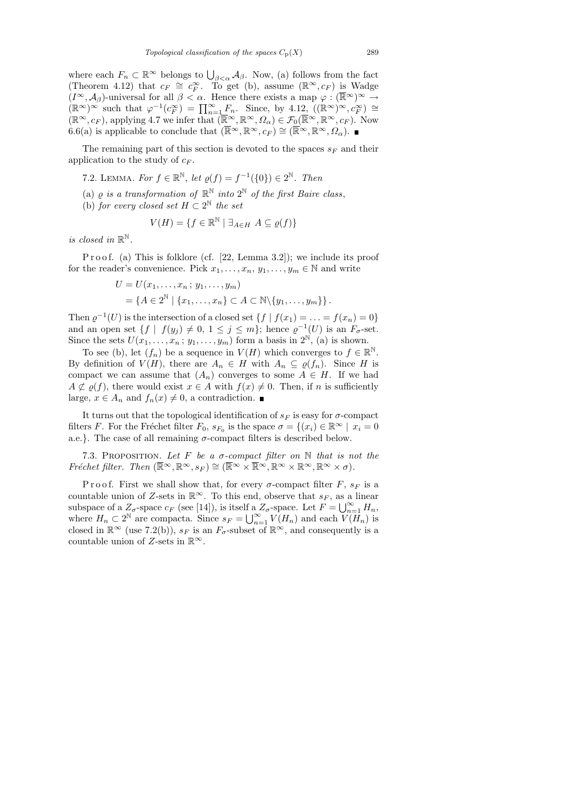where each  $F_n \subset \mathbb{R}^\infty$  belongs to  $\bigcup_{\beta < \alpha} A_\beta$ . Now, (a) follows from the fact (Theorem 4.12) that  $c_F \cong c_F^{\infty}$ . To get (b), assume  $(\mathbb{R}^{\infty}, c_F)$  is Wadge  $(I^{\infty}, \mathcal{A}_{\beta})$ -universal for all  $\beta < \alpha$ . Hence there exists a map  $\varphi : (\overline{\mathbb{R}}^{\infty})^{\infty} \to$  $(\mathbb{R}^{\infty})^{\infty}$  such that  $\varphi^{-1}(c_F^{\infty}) = \prod_{n=1}^{\infty} F_n$ . Since, by  $4.12$ ,  $((\mathbb{R}^{\infty})^{\infty}, c_F^{\infty}) \cong$  $(\mathbb{R}^{\infty}, c_F)$ , applying 4.7 we infer that  $(\mathbb{R}^{\infty}, \mathbb{R}^{\infty}, \Omega_{\alpha}) \in \mathcal{F}_0(\mathbb{R}^{\infty}, \mathbb{R}^{\infty}, c_F)$ . Now 6.6(a) is applicable to conclude that  $(\overline{\mathbb{R}}^{\infty}, \mathbb{R}^{\infty}, c_F) \cong (\overline{\mathbb{R}}^{\infty}, \mathbb{R}^{\infty}, \Omega_{\alpha})$ .

The remaining part of this section is devoted to the spaces  $s_F$  and their application to the study of  $c_F$ .

7.2. LEMMA. For  $f \in \mathbb{R}^{\mathbb{N}}$ , let  $\varrho(f) = f^{-1}(\{0\}) \in 2^{\mathbb{N}}$ . Then

- (a)  $\varrho$  is a transformation of  $\mathbb{R}^{\mathbb{N}}$  into  $2^{\mathbb{N}}$  of the first Baire class,
- (b) for every closed set  $H \subset 2^{\mathbb{N}}$  the set

$$
V(H) = \{ f \in \mathbb{R}^{\mathbb{N}} \mid \exists_{A \in H} \ A \subseteq \varrho(f) \}
$$

is closed in  $\mathbb{R}^{\mathbb{N}}$ .

P r o o f. (a) This is folklore (cf.  $[22, \text{Lemma } 3.2]$ ); we include its proof for the reader's convenience. Pick  $x_1, \ldots, x_n, y_1, \ldots, y_m \in \mathbb{N}$  and write

$$
U = U(x_1, \ldots, x_n ; y_1, \ldots, y_m)
$$
  
=  $\{A \in 2^{\mathbb{N}} \mid \{x_1, \ldots, x_n\} \subset A \subset \mathbb{N} \setminus \{y_1, \ldots, y_m\}\}.$ 

Then  $\varrho^{-1}(U)$  is the intersection of a closed set  $\{f \mid f(x_1) = \ldots = f(x_n) = 0\}$ and an open set  $\{f \mid f(y_j) \neq 0, 1 \leq j \leq m\}$ ; hence  $\varrho^{-1}(U)$  is an  $F_{\sigma}$ -set. Since the sets  $U(x_1, \ldots, x_n; y_1, \ldots, y_m)$  form a basis in  $2^{\mathbb{N}}$ , (a) is shown.

To see (b), let  $(f_n)$  be a sequence in  $V(H)$  which converges to  $f \in \mathbb{R}^{\mathbb{N}}$ . By definition of  $V(H)$ , there are  $A_n \in H$  with  $A_n \subseteq \rho(f_n)$ . Since H is compact we can assume that  $(A_n)$  converges to some  $A \in H$ . If we had  $A \not\subset \varrho(f)$ , there would exist  $x \in A$  with  $f(x) \neq 0$ . Then, if n is sufficiently large,  $x \in A_n$  and  $f_n(x) \neq 0$ , a contradiction.

It turns out that the topological identification of  $s_F$  is easy for  $\sigma$ -compact filters F. For the Fréchet filter  $F_0$ ,  $s_{F_0}$  is the space  $\sigma = \{(x_i) \in \mathbb{R}^\infty \mid x_i = 0\}$ a.e.}. The case of all remaining  $\sigma$ -compact filters is described below.

7.3. PROPOSITION. Let F be a  $\sigma$ -compact filter on N that is not the Fréchet filter. Then  $(\overline{\mathbb{R}}^{\infty}, \mathbb{R}^{\infty}, s_F) \cong (\overline{\mathbb{R}}^{\infty} \times \overline{\mathbb{R}}^{\infty}, \mathbb{R}^{\infty} \times \mathbb{R}^{\infty}, \mathbb{R}^{\infty} \times \sigma).$ 

Proof. First we shall show that, for every  $\sigma$ -compact filter F,  $s_F$  is a countable union of Z-sets in  $\mathbb{R}^{\infty}$ . To this end, observe that  $s_F$ , as a linear subspace of a  $Z_{\sigma}$ -space  $c_F$  (see [14]), is itself a  $Z_{\sigma}$ -space. Let  $F = \bigcup_{n=1}^{\infty} H_n$ , where  $H_n \subset 2^{\mathbb{N}}$  are compacta. Since  $s_F = \bigcup_{n=1}^{\infty} V(H_n)$  and each  $V(H_n)$  is closed in  $\mathbb{R}^{\infty}$  (use 7.2(b)),  $s_F$  is an  $F_{\sigma}$ -subset of  $\mathbb{R}^{\infty}$ , and consequently is a countable union of Z-sets in  $\mathbb{R}^{\infty}$ .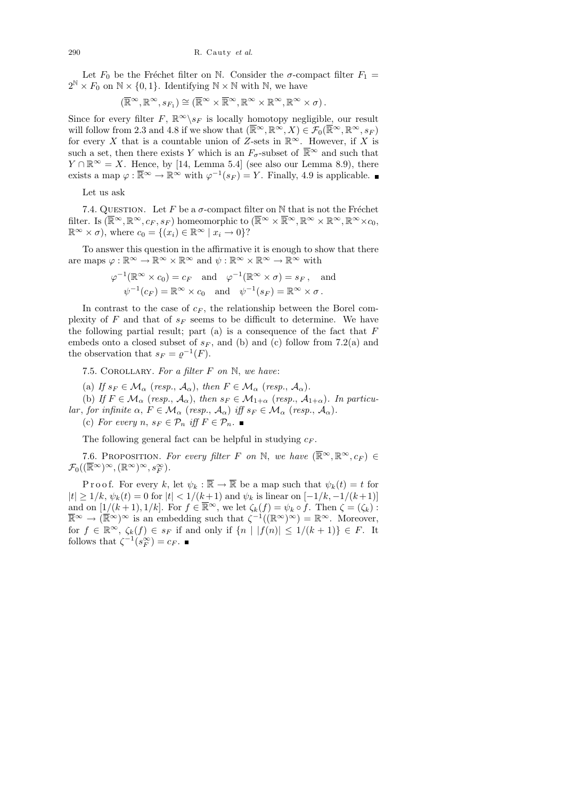Let  $F_0$  be the Fréchet filter on N. Consider the  $\sigma$ -compact filter  $F_1 =$  $2^{\mathbb{N}} \times F_0$  on  $\mathbb{N} \times \{0, 1\}$ . Identifying  $\mathbb{N} \times \mathbb{N}$  with  $\mathbb{N}$ , we have

$$
(\overline{\mathbb{R}}^{\infty}, \mathbb{R}^{\infty}, s_{F_1}) \cong (\overline{\mathbb{R}}^{\infty} \times \overline{\mathbb{R}}^{\infty}, \mathbb{R}^{\infty} \times \mathbb{R}^{\infty}, \mathbb{R}^{\infty} \times \sigma).
$$

Since for every filter F,  $\mathbb{R}^{\infty}\backslash s_F$  is locally homotopy negligible, our result will follow from 2.3 and 4.8 if we show that  $(\overline{\mathbb{R}}^{\infty}, \mathbb{R}^{\infty}, X) \in \mathcal{F}_0(\overline{\mathbb{R}}^{\infty}, \mathbb{R}^{\infty}, s_F)$ for every X that is a countable union of Z-sets in  $\mathbb{R}^{\infty}$ . However, if X is such a set, then there exists Y which is an  $F_{\sigma}$ -subset of  $\overline{\mathbb{R}}^{\infty}$  and such that  $Y \cap \mathbb{R}^{\infty} = X$ . Hence, by [14, Lemma 5.4] (see also our Lemma 8.9), there exists a map  $\varphi : \overline{\mathbb{R}}^{\infty} \to \mathbb{R}^{\infty}$  with  $\varphi^{-1}(s_F) = Y$ . Finally, 4.9 is applicable.

Let us ask

7.4. QUESTION. Let F be a  $\sigma$ -compact filter on N that is not the Fréchet filter. Is  $(\overline{\mathbb{R}}^{\infty}, \mathbb{R}^{\infty}, c_F, s_F)$  homeomorphic to  $(\overline{\mathbb{R}}^{\infty} \times \overline{\mathbb{R}}^{\infty}, \mathbb{R}^{\infty} \times \mathbb{R}^{\infty}, \mathbb{R}^{\infty} \times c_0$  $\mathbb{R}^{\infty} \times \sigma$ , where  $c_0 = \{(x_i) \in \mathbb{R}^{\infty} \mid x_i \to 0\}$ ?

To answer this question in the affirmative it is enough to show that there are maps  $\varphi : \mathbb{R}^{\infty} \to \mathbb{R}^{\infty} \times \mathbb{R}^{\infty}$  and  $\psi : \mathbb{R}^{\infty} \times \mathbb{R}^{\infty} \to \mathbb{R}^{\infty}$  with

$$
\varphi^{-1}(\mathbb{R}^{\infty} \times c_0) = c_F \text{ and } \varphi^{-1}(\mathbb{R}^{\infty} \times \sigma) = s_F, \text{ and}
$$
  

$$
\psi^{-1}(c_F) = \mathbb{R}^{\infty} \times c_0 \text{ and } \psi^{-1}(s_F) = \mathbb{R}^{\infty} \times \sigma.
$$

In contrast to the case of  $c_F$ , the relationship between the Borel complexity of  $F$  and that of  $s_F$  seems to be difficult to determine. We have the following partial result; part  $(a)$  is a consequence of the fact that  $F$ embeds onto a closed subset of  $s_F$ , and (b) and (c) follow from 7.2(a) and the observation that  $s_F = \varrho^{-1}(F)$ .

7.5. COROLLARY. For a filter  $F$  on  $\mathbb{N}$ , we have:

(a) If  $s_F \in \mathcal{M}_{\alpha}$  (resp.,  $\mathcal{A}_{\alpha}$ ), then  $F \in \mathcal{M}_{\alpha}$  (resp.,  $\mathcal{A}_{\alpha}$ ).

(b) If  $F \in \mathcal{M}_{\alpha}$  (resp.,  $\mathcal{A}_{\alpha}$ ), then  $s_F \in \mathcal{M}_{1+\alpha}$  (resp.,  $\mathcal{A}_{1+\alpha}$ ). In particular, for infinite  $\alpha$ ,  $F \in \mathcal{M}_{\alpha}$  (resp.,  $\mathcal{A}_{\alpha}$ ) iff  $s_F \in \mathcal{M}_{\alpha}$  (resp.,  $\mathcal{A}_{\alpha}$ ).

(c) For every n,  $s_F \in \mathcal{P}_n$  iff  $F \in \mathcal{P}_n$ .

The following general fact can be helpful in studying  $c_F$ .

7.6. PROPOSITION. For every filter F on N, we have  $(\overline{\mathbb{R}}^{\infty}, \mathbb{R}^{\infty}, c_F) \in$  $\mathcal{F}_0((\overline{\mathbb{R}}^{\infty})^{\infty}, (\mathbb{R}^{\infty})^{\infty}, s_F^{\infty}).$ 

P r o o f. For every k, let  $\psi_k : \overline{\mathbb{R}} \to \overline{\mathbb{R}}$  be a map such that  $\psi_k(t) = t$  for  $|t| \geq 1/k$ ,  $\psi_k(t) = 0$  for  $|t| < 1/(k+1)$  and  $\psi_k$  is linear on  $[-1/k, -1/(k+1)]$ and on  $[1/(k+1), 1/k]$ . For  $f \in \overline{\mathbb{R}}^{\infty}$ , we let  $\zeta_k(f) = \psi_k \circ f$ . Then  $\zeta = (\zeta_k)$ :  $\overline{\mathbb{R}}^{\infty} \to (\overline{\mathbb{R}}^{\infty})^{\infty}$  is an embedding such that  $\zeta^{-1}((\mathbb{R}^{\infty})^{\infty}) = \mathbb{R}^{\infty}$ . Moreover, for  $f \in \mathbb{R}^{\infty}$ ,  $\zeta_k(f) \in s_F$  if and only if  $\{n \mid |f(n)| \leq 1/(k+1)\} \in F$ . It follows that  $\zeta^{-1}(s_F^{\infty}) = c_F$ .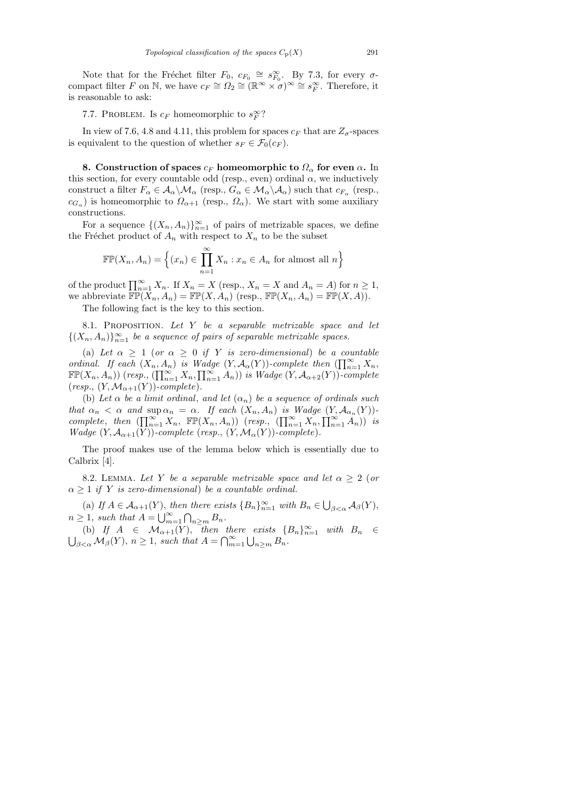Note that for the Fréchet filter  $F_0, c_{F_0} \cong s_{F_0}^{\infty}$ . By 7.3, for every  $\sigma$ compact filter F on N, we have  $c_F \cong \Omega_2 \cong (\mathbb{R}^\infty \times \sigma)^\infty \cong s_F^\infty$ . Therefore, it is reasonable to ask:

# 7.7. PROBLEM. Is  $c_F$  homeomorphic to  $s_F^{\infty}$ ?

In view of 7.6, 4.8 and 4.11, this problem for spaces  $c_F$  that are  $Z_{\sigma}$ -spaces is equivalent to the question of whether  $s_F \in \mathcal{F}_0(c_F)$ .

8. Construction of spaces  $c_F$  homeomorphic to  $\Omega_\alpha$  for even  $\alpha$ . In this section, for every countable odd (resp., even) ordinal  $\alpha$ , we inductively construct a filter  $F_{\alpha} \in A_{\alpha} \backslash \mathcal{M}_{\alpha}$  (resp.,  $G_{\alpha} \in \mathcal{M}_{\alpha} \backslash \mathcal{A}_{\alpha}$ ) such that  $c_{F_{\alpha}}$  (resp.,  $c_{G_{\alpha}}$ ) is homeomorphic to  $\Omega_{\alpha+1}$  (resp.,  $\Omega_{\alpha}$ ). We start with some auxiliary constructions.

For a sequence  $\{(X_n, A_n)\}_{n=1}^{\infty}$  of pairs of metrizable spaces, we define the Fréchet product of  $A_n$  with respect to  $X_n$  to be the subset

$$
\mathbb{FP}(X_n, A_n) = \left\{ (x_n) \in \prod_{n=1}^{\infty} X_n : x_n \in A_n \text{ for almost all } n \right\}
$$

of the product  $\prod_{n=1}^{\infty} X_n$ . If  $X_n = X$  (resp.,  $X_n = X$  and  $A_n = A$ ) for  $n \ge 1$ , we abbreviate  $\mathbb{FP}(X_n, A_n) = \mathbb{FP}(X, A_n)$  (resp.,  $\mathbb{FP}(X_n, A_n) = \mathbb{FP}(X, A)$ ). The following fact is the key to this section.

8.1. PROPOSITION. Let  $Y$  be a separable metrizable space and let  $\{(X_n, A_n)\}_{n=1}^{\infty}$  be a sequence of pairs of separable metrizable spaces.

(a) Let  $\alpha \geq 1$  (or  $\alpha \geq 0$  if Y is zero-dimensional) be a countable ordinal. If each  $(X_n, A_n)$  is Wadge  $(Y, A_\alpha(Y))$ -complete then  $(\prod_{n=1}^\infty X_n,$  $\mathbb{FP}(X_n, A_n))$  (resp.,  $(\prod_{n=1}^{\infty} X_n, \prod_{n=1}^{\infty} A_n))$  is Wadge  $(Y, A_{\alpha+2}(Y))$ -complete  $(resp., (Y, \mathcal{M}_{\alpha+1}(Y))\text{-}complete).$ 

(b) Let  $\alpha$  be a limit ordinal, and let  $(\alpha_n)$  be a sequence of ordinals such that  $\alpha_n < \alpha$  and  $\sup \alpha_n = \alpha$ . If each  $(X_n, A_n)$  is Wadge  $(Y, A_{\alpha_n}(Y))$ complete, then  $(\prod_{n=1}^{\infty} X_n, \mathbb{FP}(X_n, A_n))$  (resp.,  $(\prod_{n=1}^{\infty} X_n, \prod_{n=1}^{\infty} A_n))$  is *Wadge*  $(Y, \mathcal{A}_{\alpha+1}(Y))$ -complete (resp.,  $(Y, \mathcal{M}_{\alpha}(Y))$ -complete).

The proof makes use of the lemma below which is essentially due to Calbrix [4].

8.2. LEMMA. Let Y be a separable metrizable space and let  $\alpha \geq 2$  (or  $\alpha \geq 1$  if Y is zero-dimensional) be a countable ordinal.

(a) If  $A \in \mathcal{A}_{\alpha+1}(Y)$ , then there exists  $\{B_n\}_{n=1}^{\infty}$  with  $B_n \in \bigcup_{\beta < \alpha} \mathcal{A}_{\beta}(Y)$ ,  $n \geq 1$ , such that  $A = \bigcup_{m=1}^{\infty} \bigcap_{n \geq m} B_n$ .

(b) If  $A \in \mathcal{M}_{\alpha+1}(Y)$ , then there exists  ${B_n}_{n=1}^{\infty}$  with  $B_n \in$  $\bigcup_{\beta<\alpha} \mathcal{M}_{\beta}(Y), n\geq 1$ , such that  $A=\bigcap_{m=1}^{\infty} \bigcup_{n\geq m} B_n$ .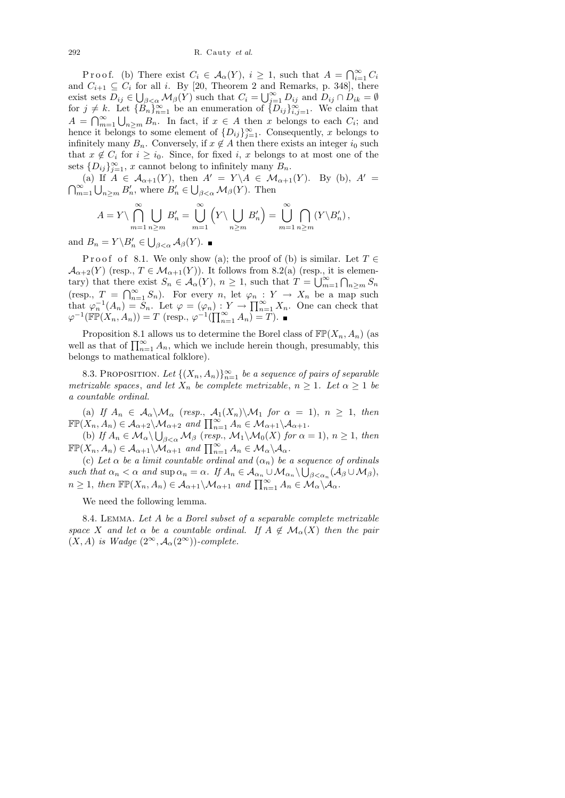292 R. Cauty *et al.*

Proof. (b) There exist  $C_i \in \mathcal{A}_{\alpha}(Y), i \geq 1$ , such that  $A = \bigcap_{i=1}^{\infty} C_i$ and  $C_{i+1} \subseteq C_i$  for all i. By [20, Theorem 2 and Remarks, p. 348], there exist sets  $D_{ij} \in \bigcup_{\beta < \alpha} \mathcal{M}_{\beta}(Y)$  such that  $C_i = \bigcup_{j=1}^{\infty} D_{ij}$  and  $D_{ij} \cap D_{ik} = \emptyset$ for  $j \neq k$ . Let  ${B_n}_{n=1}^{\infty}$  be an enumeration of  ${D_{ij}}_{i,j=1}^{\infty}$ . We claim that  $A = \bigcap_{m=1}^{\infty} \bigcup_{n \geq m} B_n$ . In fact, if  $x \in A$  then x belongs to each  $C_i$ ; and hence it belongs to some element of  $\{D_{ij}\}_{j=1}^{\infty}$ . Consequently, x belongs to infinitely many  $B_n$ . Conversely, if  $x \notin A$  then there exists an integer  $i_0$  such that  $x \notin C_i$  for  $i \geq i_0$ . Since, for fixed i, x belongs to at most one of the sets  $\{D_{ij}\}_{j=1}^{\infty}$ , x cannot belong to infinitely many  $B_n$ .

(a) If  $A \in \mathcal{A}_{\alpha+1}(Y)$ , then  $A' = Y \setminus A \in \mathcal{M}_{\alpha+1}(Y)$ . By (b),  $A' =$  $\bigcap_{m=1}^{\infty} \bigcup_{n \geq m} B'_n$ , where  $B'_n \in \bigcup_{\beta < \alpha} \mathcal{M}_\beta(Y)$ . Then

$$
A = Y \setminus \bigcap_{m=1}^{\infty} \bigcup_{n \ge m} B'_n = \bigcup_{m=1}^{\infty} \left( Y \setminus \bigcup_{n \ge m} B'_n \right) = \bigcup_{m=1}^{\infty} \bigcap_{n \ge m} \left( Y \setminus B'_n \right),
$$

and  $B_n = Y \backslash B'_n \in \bigcup_{\beta < \alpha} A_\beta(Y)$ .

P r o o f o f 8.1. We only show (a); the proof of (b) is similar. Let  $T \in$  $\mathcal{A}_{\alpha+2}(Y)$  (resp.,  $T \in \mathcal{M}_{\alpha+1}(Y)$ ). It follows from 8.2(a) (resp., it is elementary) that there exist  $S_n \in \mathcal{A}_{\alpha}(Y), n \geq 1$ , such that  $T = \bigcup_{m=1}^{\infty} \bigcap_{n \geq m} S_n$ (resp.,  $T = \bigcap_{n=1}^{\infty} S_n$ ). For every n, let  $\varphi_n : Y \to X_n$  be a map such that  $\varphi_n^{-1}(A_n) = S_n$ . Let  $\varphi = (\varphi_n) : Y \to \prod_{n=1}^{\infty} X_n$ . One can check that  $\varphi^{-1}(\mathbb{FP}(X_n, A_n)) = T \text{ (resp., } \varphi^{-1}(\prod_{n=1}^{\infty} A_n) = T).$ 

Proposition 8.1 allows us to determine the Borel class of  $\mathbb{FP}(X_n, A_n)$  (as well as that of  $\prod_{n=1}^{\infty} A_n$ , which we include herein though, presumably, this belongs to mathematical folklore).

8.3. PROPOSITION. Let  $\{(X_n, A_n)\}_{n=1}^{\infty}$  be a sequence of pairs of separable metrizable spaces, and let  $X_n$  be complete metrizable,  $n \geq 1$ . Let  $\alpha \geq 1$  be a countable ordinal.

(a) If  $A_n \in \mathcal{A}_{\alpha} \backslash \mathcal{M}_{\alpha}$  (resp.,  $\mathcal{A}_1(X_n) \backslash \mathcal{M}_1$  for  $\alpha = 1$ ),  $n \geq 1$ , then  $\mathbb{FP}(X_n, A_n) \in \mathcal{A}_{\alpha+2} \backslash \mathcal{M}_{\alpha+2}$  and  $\prod_{n=1}^{\infty} A_n \in \mathcal{M}_{\alpha+1} \backslash \mathcal{A}_{\alpha+1}$ .

(b) If  $A_n \in \mathcal{M}_\alpha \backslash \bigcup_{\beta < \alpha} \mathcal{M}_\beta$  (resp.,  $\mathcal{M}_1 \backslash \mathcal{M}_0(X)$  for  $\alpha = 1$ ),  $n \geq 1$ , then  $\mathbb{FP}(X_n, A_n) \in \mathcal{A}_{\alpha+1} \backslash \mathcal{M}_{\alpha+1}$  and  $\prod_{n=1}^{\infty} A_n \in \mathcal{M}_{\alpha} \backslash \mathcal{A}_{\alpha}$ .

(c) Let  $\alpha$  be a limit countable ordinal and  $(\alpha_n)$  be a sequence of ordinals such that  $\alpha_n < \alpha$  and  $\sup \alpha_n = \alpha$ . If  $A_n \in A_{\alpha_n} \cup M_{\alpha_n} \setminus \bigcup_{\beta < \alpha_n} (A_\beta \cup M_\beta)$ ,  $n \geq 1$ , then  $\mathbb{FP}(X_n, A_n) \in \mathcal{A}_{\alpha+1} \setminus \mathcal{M}_{\alpha+1}$  and  $\prod_{n=1}^{\infty} A_n \in \mathcal{M}_{\alpha} \setminus \mathcal{A}_{\alpha}$ .

We need the following lemma.

8.4. Lemma. Let A be a Borel subset of a separable complete metrizable space X and let  $\alpha$  be a countable ordinal. If  $A \notin \mathcal{M}_{\alpha}(X)$  then the pair  $(X, A)$  is Wadge  $(2^{\infty}, A_{\alpha}(2^{\infty}))$ -complete.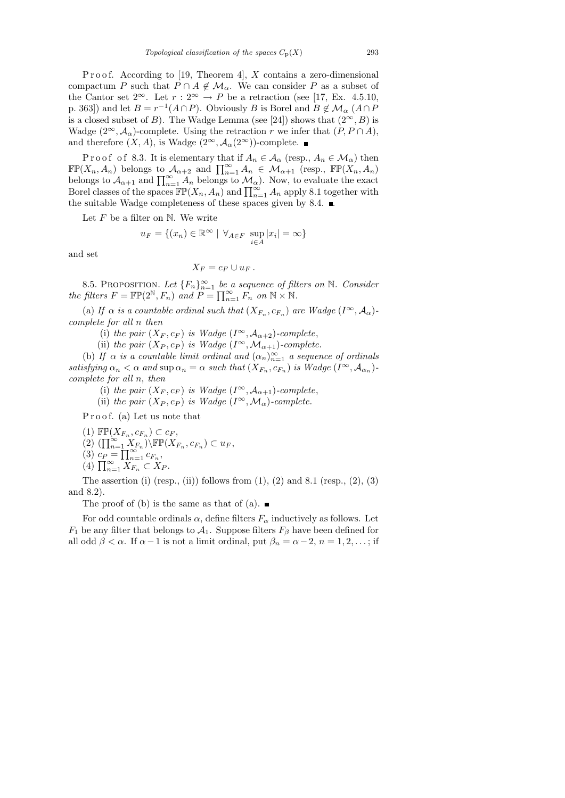P r o o f. According to [19, Theorem 4],  $X$  contains a zero-dimensional compactum P such that  $P \cap A \notin \mathcal{M}_{\alpha}$ . We can consider P as a subset of the Cantor set  $2^{\infty}$ . Let  $r: 2^{\infty} \to P$  be a retraction (see [17, Ex. 4.5.10, p. 363]) and let  $B = r^{-1}(A \cap P)$ . Obviously B is Borel and  $B \notin \mathcal{M}_{\alpha}$   $(A \cap P)$ is a closed subset of B). The Wadge Lemma (see [24]) shows that  $(2^{\infty}, B)$  is Wadge  $(2^{\infty}, \mathcal{A}_{\alpha})$ -complete. Using the retraction r we infer that  $(P, P \cap A)$ , and therefore  $(X, A)$ , is Wadge  $(2^{\infty}, A_{\alpha}(2^{\infty}))$ -complete.

P r o o f o f 8.3. It is elementary that if  $A_n \in \mathcal{A}_{\alpha}$  (resp.,  $A_n \in \mathcal{M}_{\alpha}$ ) then  $\mathbb{FP}(X_n, A_n)$  belongs to  $\mathcal{A}_{\alpha+2}$  and  $\prod_{n=1}^{\infty} A_n \in \mathcal{M}_{\alpha+1}$  (resp.,  $\mathbb{FP}(X_n, A_n)$ ) belongs to  $\mathcal{A}_{\alpha+1}$  and  $\prod_{n=1}^{\infty} A_n$  belongs to  $\mathcal{M}_{\alpha}$ ). Now, to evaluate the exact Borel classes of the spaces  $\mathbb{FP}(X_n, A_n)$  and  $\prod_{n=1}^{\infty} A_n$  apply 8.1 together with the suitable Wadge completeness of these spaces given by 8.4.  $\blacksquare$ 

Let  $F$  be a filter on  $\mathbb N$ . We write

$$
u_F = \{(x_n) \in \mathbb{R}^\infty \mid \forall_{A \in F} \sup_{i \in A} |x_i| = \infty\}
$$

and set

$$
X_F = c_F \cup u_F.
$$

8.5. PROPOSITION. Let  ${F_n}_{n=1}^{\infty}$  be a sequence of filters on N. Consider the filters  $F = \mathbb{FP}(2^{\mathbb{N}}, F_n)$  and  $P = \prod_{n=1}^{\infty} F_n$  on  $\mathbb{N} \times \mathbb{N}$ .

(a) If  $\alpha$  is a countable ordinal such that  $(X_{F_n}, c_{F_n})$  are Wadge  $(I^{\infty}, A_{\alpha})$ complete for all n then

(i) the pair  $(X_F, c_F)$  is Wadge  $(I^{\infty}, A_{\alpha+2})$ -complete,

(ii) the pair  $(X_P, c_P)$  is Wadge  $(I^{\infty}, \mathcal{M}_{\alpha+1})$ -complete.

(b) If  $\alpha$  is a countable limit ordinal and  $(\alpha_n)_{n=1}^{\infty}$  a sequence of ordinals satisfying  $\alpha_n < \alpha$  and  $\sup \alpha_n = \alpha$  such that  $(X_{F_n}, c_{F_n})$  is Wadge  $(I^{\infty}, A_{\alpha_n})$ complete for all n, then

(i) the pair  $(X_F, c_F)$  is Wadge  $(I^{\infty}, A_{\alpha+1})$ -complete,

(ii) the pair  $(X_P, c_P)$  is Wadge  $(I^{\infty}, \mathcal{M}_{\alpha})$ -complete.

Proof. (a) Let us note that

(1)  $\mathbb{FP}(X_{F_n}, c_{F_n}) \subset c_F$ ,

$$
(2) \left(\prod_{n=1}^{\infty} X_{F_n}\right) \backslash \mathbb{FP}(X_{F_n}, c_{F_n}) \subset u_F,
$$

$$
(3) \ c_P = \prod_{n=1}^{\infty} c_{F_n},
$$

(4)  $\prod_{n=1}^{\infty} X_{F_n} \subset X_P$ .

The assertion (i) (resp., (ii)) follows from  $(1)$ ,  $(2)$  and  $8.1$  (resp.,  $(2)$ ,  $(3)$ and 8.2).

The proof of (b) is the same as that of (a).  $\blacksquare$ 

For odd countable ordinals  $\alpha$ , define filters  $F_{\alpha}$  inductively as follows. Let  $F_1$  be any filter that belongs to  $\mathcal{A}_1$ . Suppose filters  $F_\beta$  have been defined for all odd  $\beta < \alpha$ . If  $\alpha - 1$  is not a limit ordinal, put  $\beta_n = \alpha - 2, n = 1, 2, \dots$ ; if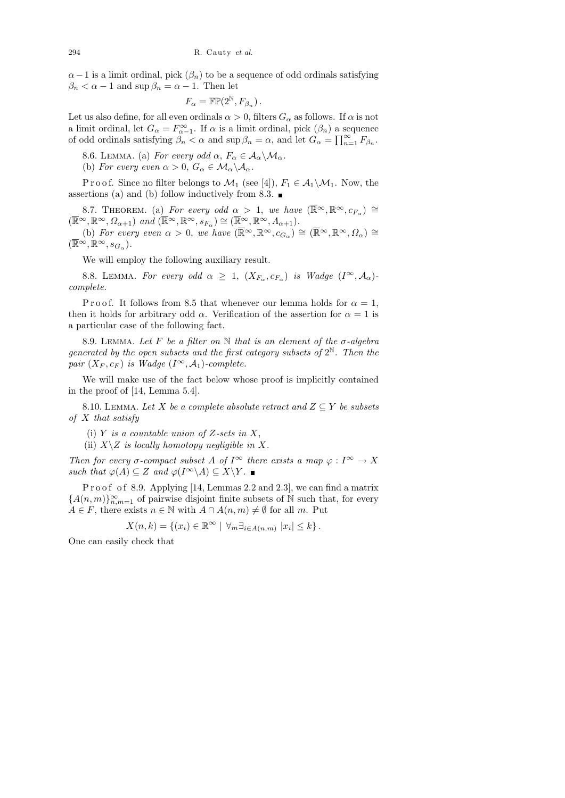$\alpha-1$  is a limit ordinal, pick  $(\beta_n)$  to be a sequence of odd ordinals satisfying  $\beta_n < \alpha - 1$  and  $\sup \beta_n = \alpha - 1$ . Then let

$$
F_{\alpha} = \mathbb{FP}(2^{\mathbb{N}}, F_{\beta_n}).
$$

Let us also define, for all even ordinals  $\alpha > 0$ , filters  $G_{\alpha}$  as follows. If  $\alpha$  is not a limit ordinal, let  $G_{\alpha} = F^{\infty}_{\alpha-1}$ . If  $\alpha$  is a limit ordinal, pick  $(\beta_n)$  a sequence of odd ordinals satisfying  $\beta_n < \alpha$  and  $\sup \beta_n = \alpha$ , and let  $G_\alpha = \prod_{n=1}^\infty F_{\beta_n}$ .

8.6. LEMMA. (a) For every odd  $\alpha$ ,  $F_{\alpha} \in \mathcal{A}_{\alpha} \backslash \mathcal{M}_{\alpha}$ .

(b) For every even  $\alpha > 0$ ,  $G_{\alpha} \in M_{\alpha} \backslash \mathcal{A}_{\alpha}$ .

P r o o f. Since no filter belongs to  $\mathcal{M}_1$  (see [4]),  $F_1 \in \mathcal{A}_1 \backslash \mathcal{M}_1$ . Now, the assertions (a) and (b) follow inductively from 8.3.  $\blacksquare$ 

8.7. THEOREM. (a) For every odd  $\alpha > 1$ , we have  $(\overline{\mathbb{R}}^{\infty}, \mathbb{R}^{\infty}, c_{F_{\alpha}}) \cong$  $(\overline{\mathbb{R}}^{\infty}, \mathbb{R}^{\infty}, \Omega_{\alpha+1})$  and  $(\overline{\mathbb{R}}^{\infty}, \mathbb{R}^{\infty}, s_{F_{\alpha}}) \cong (\overline{\mathbb{R}}^{\infty}, \mathbb{R}^{\infty}, \Lambda_{\alpha+1}).$ 

(b) For every even  $\alpha > 0$ , we have  $(\overline{\mathbb{R}}^{\infty}, \mathbb{R}^{\infty}, c_{G_{\alpha}}) \cong (\overline{\mathbb{R}}^{\infty}, \mathbb{R}^{\infty}, \Omega_{\alpha}) \cong$  $(\overline{\mathbb{R}}^{\infty}, \mathbb{R}^{\infty}, s_{G_{\alpha}}).$ 

We will employ the following auxiliary result.

8.8. LEMMA. For every odd  $\alpha \geq 1$ ,  $(X_{F_{\alpha}}, c_{F_{\alpha}})$  is Wadge  $(I^{\infty}, A_{\alpha})$ complete.

P r o o f. It follows from 8.5 that whenever our lemma holds for  $\alpha = 1$ , then it holds for arbitrary odd  $\alpha$ . Verification of the assertion for  $\alpha = 1$  is a particular case of the following fact.

8.9. LEMMA. Let F be a filter on  $\mathbb N$  that is an element of the  $\sigma$ -algebra generated by the open subsets and the first category subsets of  $2^{\mathbb{N}}$ . Then the pair  $(X_F, c_F)$  is Wadge  $(I^{\infty}, A_1)$ -complete.

We will make use of the fact below whose proof is implicitly contained in the proof of [14, Lemma 5.4].

8.10. LEMMA. Let X be a complete absolute retract and  $Z \subseteq Y$  be subsets of  $X$  that satisfy

- (i) Y is a countable union of Z-sets in  $X$ ,
- (ii)  $X\setminus Z$  is locally homotopy negligible in X.

Then for every  $\sigma$ -compact subset A of I<sup>∞</sup> there exists a map  $\varphi : I^{\infty} \to X$ such that  $\varphi(A) \subseteq Z$  and  $\varphi(I^{\infty} \backslash A) \subseteq X \backslash Y$ .

Proof of 8.9. Applying [14, Lemmas 2.2 and 2.3], we can find a matrix  ${A(n, m)}_{n,m=1}^{\infty}$  of pairwise disjoint finite subsets of N such that, for every  $A \in F$ , there exists  $n \in \mathbb{N}$  with  $A \cap A(n,m) \neq \emptyset$  for all m. Put

$$
X(n,k) = \{(x_i) \in \mathbb{R}^{\infty} \mid \forall_m \exists_{i \in A(n,m)} |x_i| \leq k\}.
$$

One can easily check that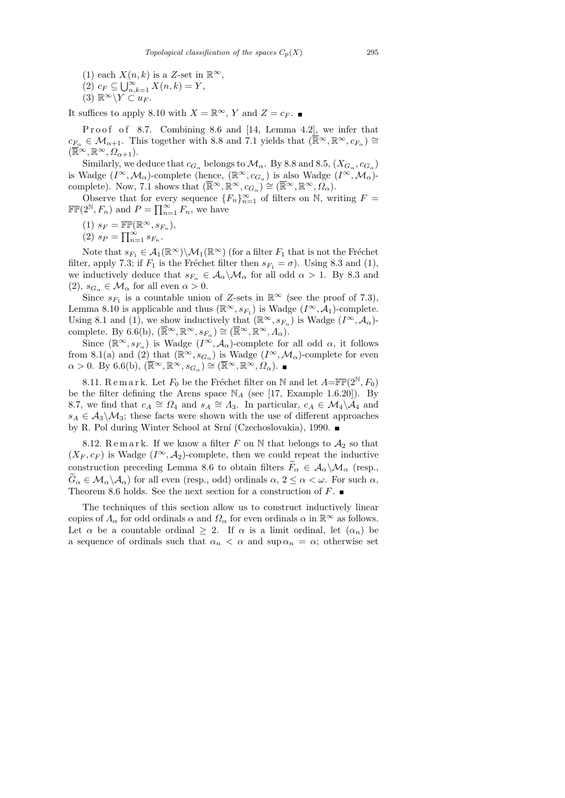- (1) each  $X(n, k)$  is a Z-set in  $\mathbb{R}^{\infty}$ ,
- (2)  $c_F \subseteq \bigcup_{n,k=1}^{\infty} X(n,k) = Y,$
- (3)  $\mathbb{R}^{\infty}\backslash Y\subset u_F$ .

It suffices to apply 8.10 with  $X = \mathbb{R}^{\infty}$ , Y and  $Z = c_F$ . ■

Proof of 8.7. Combining 8.6 and [14, Lemma 4.2], we infer that  $c_{F_\alpha} \in \mathcal{M}_{\alpha+1}$ . This together with 8.8 and 7.1 yields that  $(\overline{\mathbb{R}}^{\infty}, \mathbb{R}^{\infty}, c_{F_\alpha}) \cong$  $(\overline{\mathbb{R}}^{\infty}, \mathbb{R}^{\infty}, \Omega_{\alpha+1}).$ 

Similarly, we deduce that  $c_{G_\alpha}$  belongs to  $\mathcal{M}_\alpha$ . By 8.8 and 8.5,  $(X_{G_\alpha}, c_{G_\alpha})$ is Wadge  $(I^{\infty}, \mathcal{M}_{\alpha})$ -complete (hence,  $(\mathbb{R}^{\infty}, c_{G_{\alpha}})$  is also Wadge  $(I^{\infty}, \mathcal{M}_{\alpha})$ complete). Now, 7.1 shows that  $(\overline{\mathbb{R}}^{\infty}, \mathbb{R}^{\infty}, c_{G_{\alpha}}) \cong (\overline{\mathbb{R}}^{\infty}, \mathbb{R}^{\infty}, \Omega_{\alpha}).$ 

Observe that for every sequence  ${F_n}_{n=1}^{\infty}$  of filters on N, writing  $F =$  $\mathbb{FP}(2^{\mathbb{N}}, F_n)$  and  $P = \prod_{n=1}^{\infty} F_n$ , we have

- (1)  $s_F = \mathbb{FP}(\mathbb{R}^{\infty}, s_{F_n}),$
- (2)  $s_P = \prod_{n=1}^{\infty} s_{F_n}$ .

Note that  $s_{F_1} \in \mathcal{A}_1(\mathbb{R}^{\infty}) \backslash \mathcal{M}_1(\mathbb{R}^{\infty})$  (for a filter  $F_1$  that is not the Fréchet filter, apply 7.3; if  $F_1$  is the Fréchet filter then  $s_{F_1} = \sigma$ ). Using 8.3 and (1), we inductively deduce that  $s_{F_\alpha} \in \mathcal{A}_\alpha \backslash \mathcal{M}_\alpha$  for all odd  $\alpha > 1$ . By 8.3 and  $(2), s_{G_{\alpha}} \in \mathcal{M}_{\alpha}$  for all even  $\alpha > 0$ .

Since  $s_{F_1}$  is a countable union of Z-sets in  $\mathbb{R}^{\infty}$  (see the proof of 7.3), Lemma 8.10 is applicable and thus  $(\mathbb{R}^{\infty}, s_{F_1})$  is Wadge  $(I^{\infty}, A_1)$ -complete. Using 8.1 and (1), we show inductively that  $(\mathbb{R}^{\infty}, s_{F_{\alpha}})$  is Wadge  $(I^{\infty}, A_{\alpha})$ complete. By 6.6(b),  $(\overline{\mathbb{R}}^{\infty}, \mathbb{R}^{\infty}, s_{F_{\alpha}}) \cong (\overline{\mathbb{R}}^{\infty}, \mathbb{R}^{\infty}, A_{\alpha}).$ 

Since  $(\mathbb{R}^{\infty}, s_{F_{\alpha}})$  is Wadge  $(I^{\infty}, A_{\alpha})$ -complete for all odd  $\alpha$ , it follows from 8.1(a) and (2) that  $(\mathbb{R}^{\infty}, s_{G_{\alpha}})$  is Wadge  $(I^{\infty}, \mathcal{M}_{\alpha})$ -complete for even  $\alpha > 0$ . By 6.6(b),  $(\overline{\mathbb{R}}^{\infty}, \mathbb{R}^{\infty}, s_{G_{\alpha}}) \stackrel{\sim}{\cong} (\overline{\mathbb{R}}^{\infty}, \mathbb{R}^{\infty}, \Omega_{\alpha})$ .

8.11. R e m a r k. Let  $F_0$  be the Fréchet filter on N and let  $A=\mathbb{FP}(2^{\mathbb{N}}, F_0)$ be the filter defining the Arens space  $\mathbb{N}_A$  (see [17, Example 1.6.20]). By 8.7, we find that  $c_A \cong \Omega_4$  and  $s_A \cong \Lambda_3$ . In particular,  $c_A \in \mathcal{M}_4 \backslash \mathcal{A}_4$  and  $s_A \in \mathcal{A}_3 \backslash \mathcal{M}_3$ ; these facts were shown with the use of different approaches by R. Pol during Winter School at Srní (Czechoslovakia), 1990.

8.12. Remark. If we know a filter F on N that belongs to  $A_2$  so that  $(X_F, c_F)$  is Wadge  $(I^{\infty}, A_2)$ -complete, then we could repeat the inductive construction preceding Lemma 8.6 to obtain filters  $F_{\alpha} \in A_{\alpha} \backslash \mathcal{M}_{\alpha}$  (resp.,  $\widetilde{G}_{\alpha} \in \mathcal{M}_{\alpha} \backslash \mathcal{A}_{\alpha}$  for all even (resp., odd) ordinals  $\alpha, 2 \leq \alpha < \omega$ . For such  $\alpha$ , Theorem 8.6 holds. See the next section for a construction of  $F$ .

The techniques of this section allow us to construct inductively linear copies of  $\Lambda_{\alpha}$  for odd ordinals  $\alpha$  and  $\Omega_{\alpha}$  for even ordinals  $\alpha$  in  $\mathbb{R}^{\infty}$  as follows. Let  $\alpha$  be a countable ordinal  $\geq 2$ . If  $\alpha$  is a limit ordinal, let  $(\alpha_n)$  be a sequence of ordinals such that  $\alpha_n < \alpha$  and  $\sup \alpha_n = \alpha$ ; otherwise set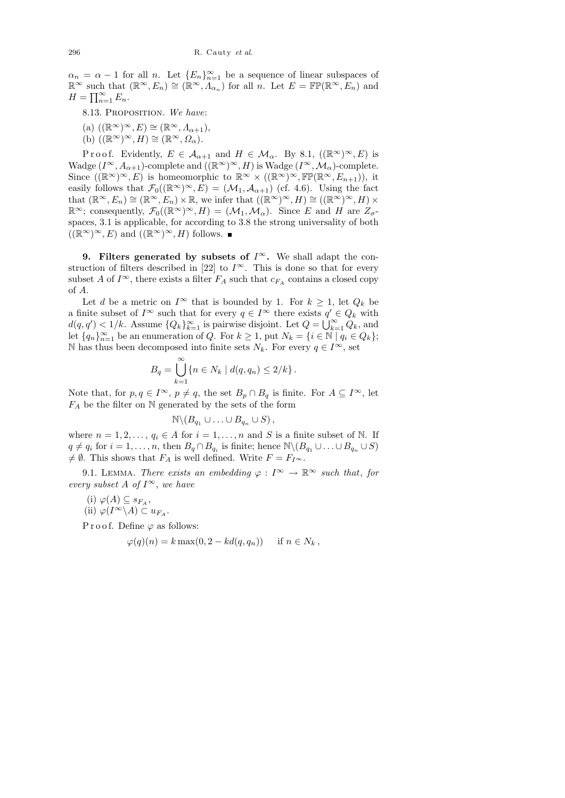$\alpha_n = \alpha - 1$  for all n. Let  $\{E_n\}_{n=1}^{\infty}$  be a sequence of linear subspaces of  $\mathbb{R}^{\infty}$  such that  $(\mathbb{R}^{\infty}, E_n) \cong (\mathbb{R}^{\infty}, \Lambda_{\alpha_n})$  for all n. Let  $E = \mathbb{FP}(\mathbb{R}^{\infty}, E_n)$  and  $H = \prod_{n=1}^{\infty} E_n.$ 

- 8.13. PROPOSITION. We have:
- (a)  $((\mathbb{R}^{\infty})^{\infty}, E) \cong (\mathbb{R}^{\infty}, \Lambda_{\alpha+1}),$
- (b)  $((\mathbb{R}^{\infty})^{\infty}, H) \cong (\mathbb{R}^{\infty}, \Omega_{\alpha}).$

Proof. Evidently,  $E \in \mathcal{A}_{\alpha+1}$  and  $H \in \mathcal{M}_{\alpha}$ . By 8.1,  $((\mathbb{R}^{\infty})^{\infty}, E)$  is Wadge  $(I^{\infty}, A_{\alpha+1})$ -complete and  $((\mathbb{R}^{\infty})^{\infty}, H)$  is Wadge  $(I^{\infty}, \mathcal{M}_{\alpha})$ -complete. Since  $((\mathbb{R}^{\infty})^{\infty}, E)$  is homeomorphic to  $\mathbb{R}^{\infty} \times ((\mathbb{R}^{\infty})^{\infty}, \mathbb{FP}(\mathbb{R}^{\infty}, E_{n+1}))$ , it easily follows that  $\mathcal{F}_0((\mathbb{R}^{\infty})^{\infty}, E) = (\mathcal{M}_1, \mathcal{A}_{\alpha+1})$  (cf. 4.6). Using the fact that  $(\mathbb{R}^{\infty}, E_n) \cong (\mathbb{R}^{\infty}, E_n) \times \mathbb{R}$ , we infer that  $((\mathbb{R}^{\infty})^{\infty}, H) \cong ((\mathbb{R}^{\infty})^{\infty}, H) \times$  $\mathbb{R}^{\infty}$ ; consequently,  $\mathcal{F}_0((\mathbb{R}^{\infty})^{\infty}, H) = (\mathcal{M}_1, \mathcal{M}_\alpha)$ . Since E and H are  $Z_{\sigma}$ spaces, 3.1 is applicable, for according to 3.8 the strong universality of both  $((\mathbb{R}^{\infty})^{\infty}, E)$  and  $((\mathbb{R}^{\infty})^{\infty}, H)$  follows.

9. Filters generated by subsets of  $I^{\infty}$ . We shall adapt the construction of filters described in [22] to  $I^{\infty}$ . This is done so that for every subset A of  $I^{\infty}$ , there exists a filter  $F_A$  such that  $c_{F_A}$  contains a closed copy of A.

Let d be a metric on  $I^{\infty}$  that is bounded by 1. For  $k \geq 1$ , let  $Q_k$  be a finite subset of  $I^{\infty}$  such that for every  $q \in I^{\infty}$  there exists  $q' \in Q_k$  with  $d(q, q') < 1/k$ . Assume  $\{Q_k\}_{k=1}^{\infty}$  is pairwise disjoint. Let  $Q = \bigcup_{k=1}^{\infty} Q_k$ , and let  ${q_n}_{n=1}^{\infty}$  be an enumeration of Q. For  $k \geq 1$ , put  $N_k = {i \in \mathbb{N} \mid q_i \in Q_k};$ N has thus been decomposed into finite sets  $N_k$ . For every  $q \in I^{\infty}$ , set

$$
B_q = \bigcup_{k=1}^{\infty} \{ n \in N_k \mid d(q, q_n) \le 2/k \} .
$$

Note that, for  $p, q \in I^{\infty}$ ,  $p \neq q$ , the set  $B_p \cap B_q$  is finite. For  $A \subseteq I^{\infty}$ , let  $F_A$  be the filter on N generated by the sets of the form

$$
\mathbb{N}\backslash (B_{q_1}\cup\ldots\cup B_{q_n}\cup S)\,,
$$

where  $n = 1, 2, \ldots, q_i \in A$  for  $i = 1, \ldots, n$  and S is a finite subset of N. If  $q \neq q_i$  for  $i = 1, \ldots, n$ , then  $B_q \cap B_{q_i}$  is finite; hence  $\mathbb{N} \setminus (B_{q_1} \cup \ldots \cup B_{q_n} \cup S)$  $\neq \emptyset$ . This shows that  $F_A$  is well defined. Write  $F = F_{I^{\infty}}$ .

9.1. LEMMA. There exists an embedding  $\varphi: I^{\infty} \to \mathbb{R}^{\infty}$  such that, for every subset A of  $I^{\infty}$ , we have

(i)  $\varphi(A) \subseteq s_{F_A},$ (ii)  $\varphi(I^{\infty} \backslash A) \subset u_{F_A}.$ 

P r o o f. Define  $\varphi$  as follows:

$$
\varphi(q)(n) = k \max(0, 2 - kd(q, q_n)) \quad \text{if } n \in N_k,
$$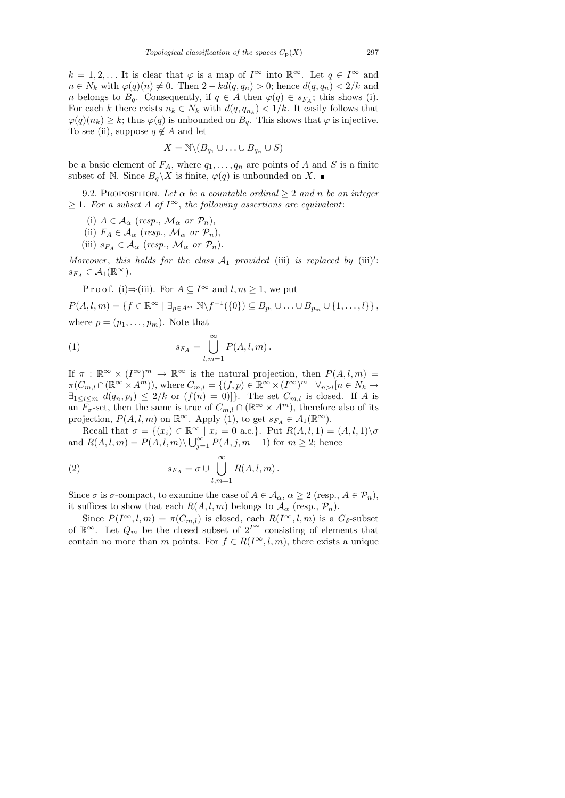$k = 1, 2, \dots$  It is clear that  $\varphi$  is a map of  $I^{\infty}$  into  $\mathbb{R}^{\infty}$ . Let  $q \in I^{\infty}$  and  $n \in N_k$  with  $\varphi(q)(n) \neq 0$ . Then  $2 - kd(q, q_n) > 0$ ; hence  $d(q, q_n) < 2/k$  and n belongs to  $B_q$ . Consequently, if  $q \in A$  then  $\varphi(q) \in s_{F_A}$ ; this shows (i). For each k there exists  $n_k \in N_k$  with  $d(q, q_{n_k}) < 1/k$ . It easily follows that  $\varphi(q)(n_k) \geq k$ ; thus  $\varphi(q)$  is unbounded on  $B_q$ . This shows that  $\varphi$  is injective. To see (ii), suppose  $q \notin A$  and let

$$
X = \mathbb{N} \backslash (B_{q_1} \cup \ldots \cup B_{q_n} \cup S)
$$

be a basic element of  $F_A$ , where  $q_1, \ldots, q_n$  are points of A and S is a finite subset of N. Since  $B_q \backslash X$  is finite,  $\varphi(q)$  is unbounded on X.

9.2. PROPOSITION. Let  $\alpha$  be a countable ordinal  $\geq 2$  and n be an integer  $\geq 1$ . For a subset A of I<sup>∞</sup>, the following assertions are equivalent:

- (i)  $A \in \mathcal{A}_{\alpha}$  (resp.,  $\mathcal{M}_{\alpha}$  or  $\mathcal{P}_n$ ),
- (ii)  $F_A \in \mathcal{A}_{\alpha}$  (resp.,  $\mathcal{M}_{\alpha}$  or  $\mathcal{P}_n$ ),
- (iii)  $s_{F_A} \in A_\alpha$  (resp.,  $\mathcal{M}_\alpha$  or  $\mathcal{P}_n$ ).

Moreover, this holds for the class  $A_1$  provided (iii) is replaced by (iii)':  $s_{F_A} \in \mathcal{A}_1(\mathbb{R}^\infty).$ 

Proof. (i)⇒(iii). For 
$$
A \subseteq I^{\infty}
$$
 and  $l, m \ge 1$ , we put  
\n
$$
P(A, l, m) = \{f \in \mathbb{R}^{\infty} \mid \exists_{p \in A^m} \mathbb{N} \setminus f^{-1}(\{0\}) \subseteq B_{p_1} \cup ... \cup B_{p_m} \cup \{1, ..., l\}\},
$$
\nwhere  $p = (p_1, ..., p_m)$ . Note that

(1) 
$$
s_{F_A} = \bigcup_{l,m=1}^{\infty} P(A,l,m).
$$

If  $\pi : \mathbb{R}^{\infty} \times (I^{\infty})^m \to \mathbb{R}^{\infty}$  is the natural projection, then  $P(A, l, m) =$  $\pi(C_{m,l}\cap(\mathbb{R}^{\infty}\times A^{m}))$ , where  $C_{m,l}=\{(f,p)\in\mathbb{R}^{\infty}\times(I^{\infty})^{m}~|~\forall_{n>l}[n\in N_{k}\rightarrow\infty]$  $\exists_{1\leq i\leq m} d(q_n, p_i) \leq 2/k$  or  $(f(n) = 0)$ . The set  $C_{m,l}$  is closed. If A is an  $F_{\sigma}$ -set, then the same is true of  $C_{m,l} \cap (\mathbb{R}^{\infty} \times A^{m})$ , therefore also of its projection,  $P(A, l, m)$  on  $\mathbb{R}^{\infty}$ . Apply (1), to get  $s_{F_A} \in \mathcal{A}_1(\mathbb{R}^{\infty})$ .

Recall that  $\sigma = \{(x_i) \in \mathbb{R}^\infty \mid x_i = 0 \text{ a.e.}\}\.$  Put  $R(A, l, 1) = (A, l, 1)\setminus \sigma$ and  $R(A, l, m) = P(A, l, m) \setminus \bigcup_{j=1}^{\infty} P(A, j, m-1)$  for  $m \geq 2$ ; hence

(2) 
$$
s_{F_A} = \sigma \cup \bigcup_{l,m=1}^{\infty} R(A,l,m).
$$

Since  $\sigma$  is  $\sigma$ -compact, to examine the case of  $A \in \mathcal{A}_{\alpha}, \alpha \geq 2$  (resp.,  $A \in \mathcal{P}_n$ ), it suffices to show that each  $R(A, l, m)$  belongs to  $\mathcal{A}_{\alpha}$  (resp.,  $\mathcal{P}_n$ ).

Since  $P(I^{\infty}, l, m) = \pi(C_{m,l})$  is closed, each  $R(I^{\infty}, l, m)$  is a  $G_{\delta}$ -subset of  $\mathbb{R}^{\infty}$ . Let  $Q_m$  be the closed subset of  $2^{I^{\infty}}$  consisting of elements that contain no more than m points. For  $f \in R(I^{\infty}, l, m)$ , there exists a unique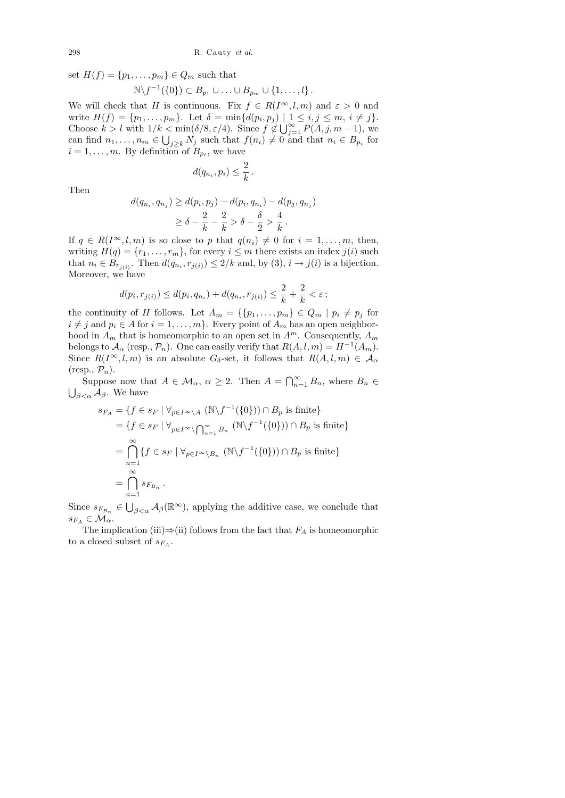set  $H(f) = \{p_1, \ldots, p_m\} \in Q_m$  such that

$$
\mathbb{N}\backslash f^{-1}(\{0\})\subset B_{p_1}\cup\ldots\cup B_{p_m}\cup\{1,\ldots,l\}.
$$

We will check that H is continuous. Fix  $f \in R(I^{\infty}, l, m)$  and  $\varepsilon > 0$  and write  $H(f) = \{p_1, \ldots, p_m\}$ . Let  $\delta = \min\{d(p_i, p_j) \mid 1 \le i, j \le m, i \ne j\}$ . Choose  $k > l$  with  $1/k < \min(\delta/8, \varepsilon/4)$ . Since  $f \notin \bigcup_{j=1}^{\infty} P(A, j, m-1)$ , we can find  $n_1, \ldots, n_m \in \bigcup_{j \geq k} N_j$  such that  $f(n_i) \neq 0$  and that  $n_i \in B_{p_i}$  for  $i = 1, \ldots, m$ . By definition of  $B_{p_i}$ , we have

 $d(q_{n_i}, p_i) \leq \frac{2}{l_i}$ 

 $\frac{2}{k}$ .

Then

$$
d(q_{n_i}, q_{n_j}) \ge d(p_i, p_j) - d(p_i, q_{n_i}) - d(p_j, q_{n_j})
$$
  
 
$$
\ge \delta - \frac{2}{k} - \frac{2}{k} > \delta - \frac{\delta}{2} > \frac{4}{k}.
$$

If  $q \in R(I^{\infty}, l, m)$  is so close to p that  $q(n_i) \neq 0$  for  $i = 1, \ldots, m$ , then, writing  $H(q) = \{r_1, \ldots, r_m\}$ , for every  $i \leq m$  there exists an index  $j(i)$  such that  $n_i \in B_{r_{j(i)}}$ . Then  $d(q_{n_i}, r_{j(i)}) \leq 2/k$  and, by  $(3), i \to j(i)$  is a bijection. Moreover, we have

$$
d(p_i, r_{j(i)}) \le d(p_i, q_{n_i}) + d(q_{n_i}, r_{j(i)}) \le \frac{2}{k} + \frac{2}{k} < \varepsilon
$$
;

the continuity of H follows. Let  $A_m = \{ \{p_1, \ldots, p_m\} \in Q_m \mid p_i \neq p_j \text{ for } j \in \mathbb{N} \}$  $i \neq j$  and  $p_i \in A$  for  $i = 1, ..., m$ . Every point of  $A_m$  has an open neighborhood in  $A_m$  that is homeomorphic to an open set in  $A^m$ . Consequently,  $A_m$ belongs to  $\mathcal{A}_{\alpha}$  (resp.,  $\mathcal{P}_n$ ). One can easily verify that  $R(A, l, m) = H^{-1}(A_m)$ . Since  $R(I^{\infty}, l, m)$  is an absolute  $G_{\delta}$ -set, it follows that  $R(A, l, m) \in \mathcal{A}_{\alpha}$  $(r \exp. \mathcal{P}_n)$ .

Suppose now that  $A \in \mathcal{M}_{\alpha}$ ,  $\alpha \geq 2$ . Then  $A = \bigcap_{n=1}^{\infty} B_n$ , where  $B_n \in$  $\bigcup_{\beta<\alpha}$   $\mathcal{A}_{\beta}$ . We have

$$
s_{F_A} = \{ f \in s_F \mid \forall_{p \in I^{\infty} \setminus A} (\mathbb{N} \setminus f^{-1}(\{0\})) \cap B_p \text{ is finite} \}
$$
  
=  $\{ f \in s_F \mid \forall_{p \in I^{\infty} \setminus \bigcap_{n=1}^{\infty} B_n} (\mathbb{N} \setminus f^{-1}(\{0\})) \cap B_p \text{ is finite} \}$   
=  $\bigcap_{n=1}^{\infty} \{ f \in s_F \mid \forall_{p \in I^{\infty} \setminus B_n} (\mathbb{N} \setminus f^{-1}(\{0\})) \cap B_p \text{ is finite} \}$   
=  $\bigcap_{n=1}^{\infty} s_{F_{B_n}}.$ 

Since  $s_{F_{B_n}} \in \bigcup_{\beta < \alpha} A_\beta(\mathbb{R}^\infty)$ , applying the additive case, we conclude that  $s_{F_A} \in \mathcal{M}_{\alpha}.$ 

The implication (iii)⇒(ii) follows from the fact that  $F_A$  is homeomorphic to a closed subset of  $s_{F_A}$ .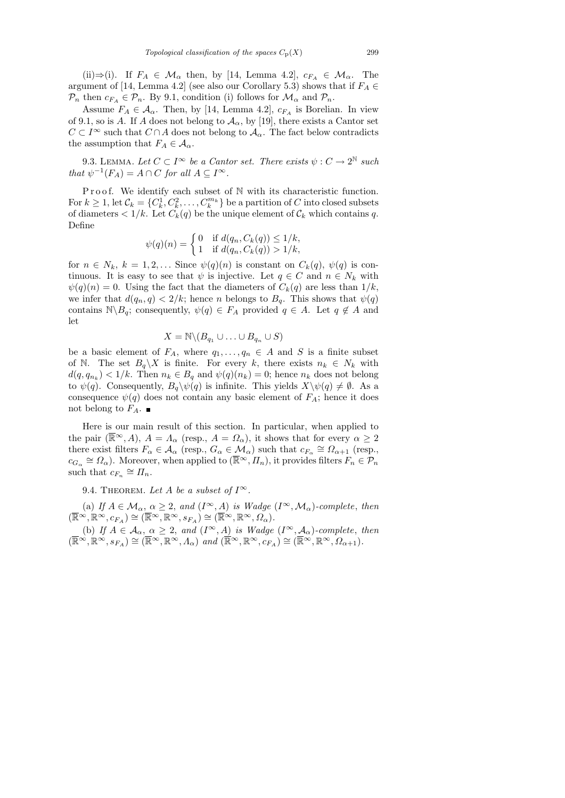(ii)⇒(i). If  $F_A \in \mathcal{M}_{\alpha}$  then, by [14, Lemma 4.2],  $c_{F_A} \in \mathcal{M}_{\alpha}$ . The argument of [14, Lemma 4.2] (see also our Corollary 5.3) shows that if  $F_A \in$  $\mathcal{P}_n$  then  $c_{F_A} \in \mathcal{P}_n$ . By 9.1, condition (i) follows for  $\mathcal{M}_\alpha$  and  $\mathcal{P}_n$ .

Assume  $F_A \in \mathcal{A}_{\alpha}$ . Then, by [14, Lemma 4.2],  $c_{F_A}$  is Borelian. In view of 9.1, so is A. If A does not belong to  $A_{\alpha}$ , by [19], there exists a Cantor set  $C \subset I^{\infty}$  such that  $C \cap A$  does not belong to  $\mathcal{A}_{\alpha}$ . The fact below contradicts the assumption that  $F_A \in \mathcal{A}_{\alpha}$ .

9.3. LEMMA. Let  $C \subset I^{\infty}$  be a Cantor set. There exists  $\psi : C \to 2^{\mathbb{N}}$  such that  $\psi^{-1}(F_A) = A \cap C$  for all  $A \subseteq I^{\infty}$ .

Proof. We identify each subset of  $N$  with its characteristic function. For  $k \geq 1$ , let  $\mathcal{C}_k = \{C_k^1, C_k^2, \ldots, C_k^{m_k}\}$  be a partition of  $C$  into closed subsets of diameters  $\langle 1/k$ . Let  $C_k(q)$  be the unique element of  $\mathcal{C}_k$  which contains q. Define

$$
\psi(q)(n) = \begin{cases} 0 & \text{if } d(q_n, C_k(q)) \le 1/k, \\ 1 & \text{if } d(q_n, C_k(q)) > 1/k, \end{cases}
$$

for  $n \in N_k$ ,  $k = 1, 2, \ldots$  Since  $\psi(q)(n)$  is constant on  $C_k(q)$ ,  $\psi(q)$  is continuous. It is easy to see that  $\psi$  is injective. Let  $q \in C$  and  $n \in N_k$  with  $\psi(q)(n) = 0$ . Using the fact that the diameters of  $C_k(q)$  are less than  $1/k$ , we infer that  $d(q_n, q) < 2/k$ ; hence n belongs to  $B_q$ . This shows that  $\psi(q)$ contains  $\mathbb{N} \backslash B_q$ ; consequently,  $\psi(q) \in F_A$  provided  $q \in A$ . Let  $q \notin A$  and let

$$
X = \mathbb{N} \setminus (B_{q_1} \cup \ldots \cup B_{q_n} \cup S)
$$

be a basic element of  $F_A$ , where  $q_1, \ldots, q_n \in A$  and S is a finite subset of N. The set  $B_q \backslash X$  is finite. For every k, there exists  $n_k \in N_k$  with  $d(q, q_{n_k}) < 1/k$ . Then  $n_k \in B_q$  and  $\psi(q)(n_k) = 0$ ; hence  $n_k$  does not belong to  $\psi(q)$ . Consequently,  $B_q\setminus \psi(q)$  is infinite. This yields  $X\setminus \psi(q) \neq \emptyset$ . As a consequence  $\psi(q)$  does not contain any basic element of  $F_A$ ; hence it does not belong to  $F_A.~\blacksquare$ 

Here is our main result of this section. In particular, when applied to the pair  $(\overline{\mathbb{R}}^{\infty}, A)$ ,  $A = \Lambda_{\alpha}$  (resp.,  $A = \Omega_{\alpha}$ ), it shows that for every  $\alpha \geq 2$ there exist filters  $F_{\alpha} \in \mathcal{A}_{\alpha}$  (resp.,  $G_{\alpha} \in \mathcal{M}_{\alpha}$ ) such that  $c_{F_{\alpha}} \cong \Omega_{\alpha+1}$  (resp.,  $c_{G_\alpha} \cong \Omega_\alpha$ ). Moreover, when applied to  $(\overline{\mathbb{R}}^\infty, \overline{H_n})$ , it provides filters  $F_n \in \mathcal{P}_n$ such that  $c_{F_n} \cong \Pi_n$ .

9.4. THEOREM. Let A be a subset of  $I^{\infty}$ .

(a) If  $A \in \mathcal{M}_{\alpha}$ ,  $\alpha \geq 2$ , and  $(I^{\infty}, A)$  is Wadge  $(I^{\infty}, \mathcal{M}_{\alpha})$ -complete, then  $(\overline{\mathbb{R}}^{\infty}, \mathbb{R}^{\infty}, c_{F_A}) \cong (\overline{\mathbb{R}}^{\infty}, \mathbb{R}^{\infty}, s_{F_A}) \cong (\overline{\mathbb{R}}^{\infty}, \mathbb{R}^{\infty}, \Omega_{\alpha}).$ 

(b) If  $A \in \mathcal{A}_{\alpha}, \alpha \geq 2$ , and  $(I^{\infty}, A)$  is Wadge  $(I^{\infty}, \mathcal{A}_{\alpha})$ -complete, then  $(\overline{\mathbb{R}}^{\infty}, \mathbb{R}^{\infty}, s_{F_A}) \cong (\overline{\mathbb{R}}^{\infty}, \mathbb{R}^{\infty}, \Lambda_{\alpha})$  and  $(\overline{\mathbb{R}}^{\infty}, \mathbb{R}^{\infty}, c_{F_A}) \cong (\overline{\mathbb{R}}^{\infty}, \mathbb{R}^{\infty}, \Omega_{\alpha+1}).$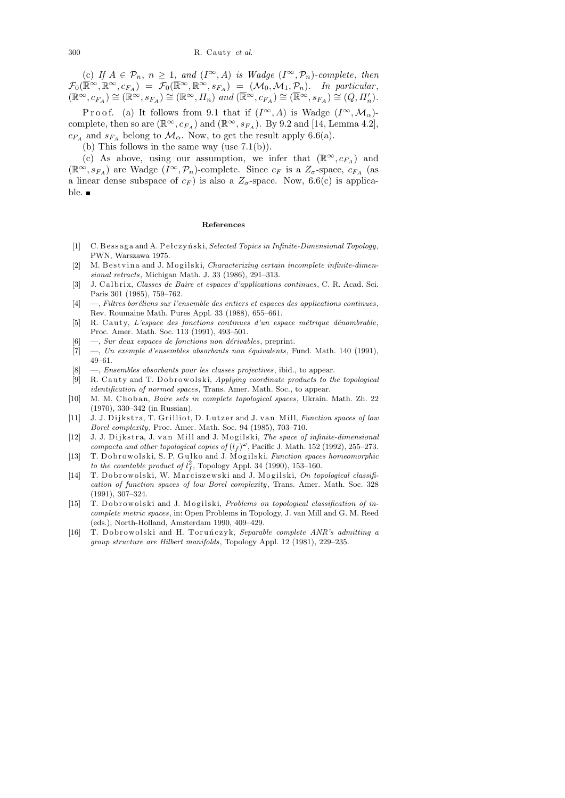(c) If  $A \in \mathcal{P}_n$ ,  $n \geq 1$ , and  $(I^{\infty}, A)$  is Wadge  $(I^{\infty}, \mathcal{P}_n)$ -complete, then  $\mathcal{F}_0(\overline{\mathbb{R}}\infty,\mathbb{R}^\infty,c_{F_A}) = \mathcal{F}_0(\overline{\mathbb{R}}\infty,\mathbb{R}^\infty,s_{F_A}) = (\mathcal{M}_0,\mathcal{M}_1,\mathcal{P}_n)$ . In particular,  $(\mathbb{R}^{\infty}, c_{F_A}) \cong (\mathbb{R}^{\infty}, s_{F_A}) \cong (\mathbb{R}^{\infty}, \Pi_n)$  and  $(\mathbb{R}^{\infty}, c_{F_A}) \cong (\mathbb{R}^{\infty}, s_{F_A}) \cong (Q, \Pi'_n)$ .

P r o o f. (a) It follows from 9.1 that if  $(I^{\infty}, A)$  is Wadge  $(I^{\infty}, \mathcal{M}_{\alpha})$ complete, then so are  $(\mathbb{R}^{\infty}, c_{FA})$  and  $(\mathbb{R}^{\infty}, s_{FA})$ . By 9.2 and [14, Lemma 4.2],  $c_{F_A}$  and  $s_{F_A}$  belong to  $\mathcal{M}_{\alpha}$ . Now, to get the result apply 6.6(a).

(b) This follows in the same way (use 7.1(b)).

(c) As above, using our assumption, we infer that  $(\mathbb{R}^{\infty}, c_{F_A})$  and  $(\mathbb{R}^{\infty}, s_{F_A})$  are Wadge  $(I^{\infty}, \mathcal{P}_n)$ -complete. Since  $c_F$  is a  $Z_{\sigma}$ -space,  $c_{F_A}$  (as a linear dense subspace of  $c_F$ ) is also a  $Z_{\sigma}$ -space. Now, 6.6(c) is applicable. ■

#### **References**

- [1] C. Bessaga and A. Pełczyński, *Selected Topics in Infinite-Dimensional Topology*, PWN, Warszawa 1975.
- [2] M. B est vin a and J. Mogilski, *Characterizing certain incomplete infinite-dimensional retracts*, Michigan Math. J. 33 (1986), 291–313.
- [3] J. C al b ri x, *Classes de Baire et espaces d'applications continues*, C. R. Acad. Sci. Paris 301 (1985), 759–762.
- [4]  $-$ , *Filtres boréliens sur l'ensemble des entiers et espaces des applications continues*, Rev. Roumaine Math. Pures Appl. 33 (1988), 655–661.
- [5] R. Cauty, *L'espace des fonctions continues d'un espace métrique dénombrable*, Proc. Amer. Math. Soc. 113 (1991), 493–501.
- [6] —, *Sur deux espaces de fonctions non dérivables*, preprint.
- [7] —, *Un exemple d'ensembles absorbants non équivalents*, Fund. Math. 140 (1991), 49–61.
- [8] —, *Ensembles absorbants pour les classes projectives*, ibid., to appear.
- [9] R. Cauty and T. Dobrowolski, *Applying coordinate products to the topological identification of normed spaces*, Trans. Amer. Math. Soc., to appear.
- [10] M. M. Choban, *Baire sets in complete topological spaces*, Ukrain. Math. Zh. 22 (1970), 330–342 (in Russian).
- [11] J. J. Di jk stra, T. Grilliot, D. Lutzer and J. van Mill, *Function spaces of low Borel complexity*, Proc. Amer. Math. Soc. 94 (1985), 703–710.
- [12] J. J. Dijkstra, J. van Mill and J. Mogilski, *The space of infinite-dimensional compacta and other topological copies of*  $(l_f)^\omega$ , Pacific J. Math. 152 (1992), 255-273.
- [13] T. Dobrowolski, S. P. Gulko and J. Mogilski, *Function spaces homeomorphic to the countable product of*  $l_f^2$ , Topology Appl. 34 (1990), 153–160.
- [14] T. Dobrowolski, W. Marciszewski and J. Mogilski, On topological classifi*cation of function spaces of low Borel complexity*, Trans. Amer. Math. Soc. 328 (1991), 307–324.
- [15] T. Dobrowolski and J. Mogilski, *Problems on topological classification of incomplete metric spaces*, in: Open Problems in Topology, J. van Mill and G. M. Reed (eds.), North-Holland, Amsterdam 1990, 409–429.
- [16] T. Dobrowolski and H. Toruńczyk, *Separable complete ANR's admitting a group structure are Hilbert manifolds*, Topology Appl. 12 (1981), 229–235.